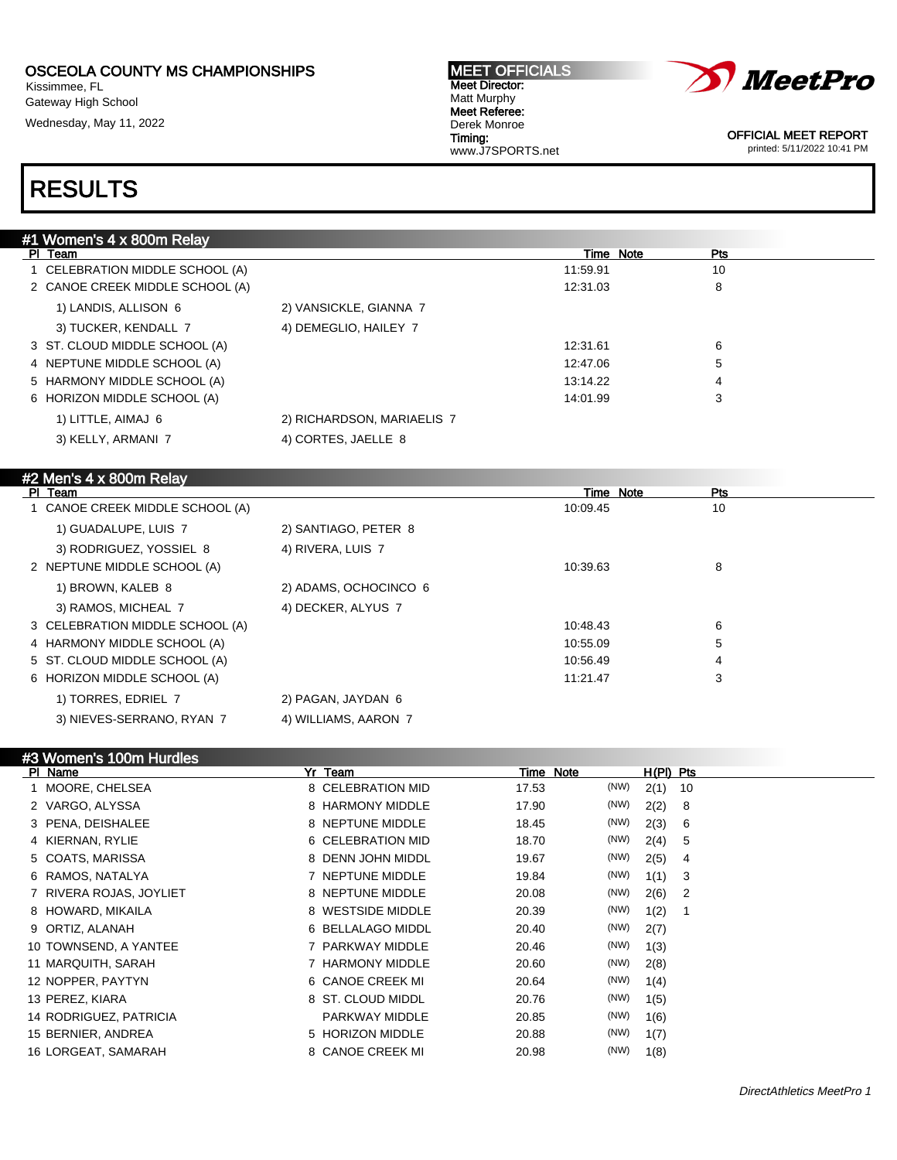Kissimmee, FL Gateway High School Wednesday, May 11, 2022

#### MEET OFFICIALS Meet Director: Matt Murphy Meet Referee: Derek Monroe Timing: www.J7SPORTS.net



OFFICIAL MEET REPORT printed: 5/11/2022 10:41 PM

| #1 Women's 4 x 800m Relay       |                            |                                |                     |
|---------------------------------|----------------------------|--------------------------------|---------------------|
| PI Team                         |                            | Time Note                      | Pts                 |
| 1 CELEBRATION MIDDLE SCHOOL (A) |                            | 11:59.91                       | 10                  |
| 2 CANOE CREEK MIDDLE SCHOOL (A) |                            | 12:31.03                       | 8                   |
| 1) LANDIS, ALLISON 6            | 2) VANSICKLE, GIANNA 7     |                                |                     |
| 3) TUCKER, KENDALL 7            | 4) DEMEGLIO, HAILEY 7      |                                |                     |
| 3 ST. CLOUD MIDDLE SCHOOL (A)   |                            | 12:31.61                       | 6                   |
| 4 NEPTUNE MIDDLE SCHOOL (A)     |                            | 12:47.06                       | 5                   |
| 5 HARMONY MIDDLE SCHOOL (A)     |                            | 13:14.22                       | 4                   |
| 6 HORIZON MIDDLE SCHOOL (A)     |                            | 14:01.99                       | 3                   |
| 1) LITTLE, AIMAJ 6              | 2) RICHARDSON, MARIAELIS 7 |                                |                     |
| 3) KELLY, ARMANI 7              | 4) CORTES, JAELLE 8        |                                |                     |
|                                 |                            |                                |                     |
| #2 Men's 4 x 800m Relay         |                            |                                |                     |
| PI Team                         |                            | <b>Time Note</b>               | Pts                 |
| 1 CANOE CREEK MIDDLE SCHOOL (A) |                            | 10:09.45                       | 10 <sup>1</sup>     |
| 1) GUADALUPE, LUIS 7            | 2) SANTIAGO, PETER 8       |                                |                     |
| 3) RODRIGUEZ, YOSSIEL 8         | 4) RIVERA, LUIS 7          |                                |                     |
| 2 NEPTUNE MIDDLE SCHOOL (A)     |                            | 10:39.63                       | 8                   |
| 1) BROWN, KALEB 8               | 2) ADAMS, OCHOCINCO 6      |                                |                     |
| 3) RAMOS, MICHEAL 7             | 4) DECKER, ALYUS 7         |                                |                     |
| 3 CELEBRATION MIDDLE SCHOOL (A) |                            | 10:48.43                       | 6                   |
| 4 HARMONY MIDDLE SCHOOL (A)     |                            | 10:55.09                       | 5                   |
| 5 ST. CLOUD MIDDLE SCHOOL (A)   |                            | 10:56.49                       |                     |
| 6 HORIZON MIDDLE SCHOOL (A)     |                            | 11:21.47                       | 3                   |
| 1) TORRES, EDRIEL 7             | 2) PAGAN, JAYDAN 6         |                                |                     |
| 3) NIEVES-SERRANO, RYAN 7       | 4) WILLIAMS, AARON 7       |                                |                     |
|                                 |                            |                                |                     |
| #3 Women's 100m Hurdles         |                            |                                |                     |
| PI Name                         | Yr Team                    | Time Note                      | $H(PI)$ Pts         |
| 1 MOORE, CHELSEA                | 8 CELEBRATION MID          | (NW)<br>17.53                  | 2(1)<br>10          |
| 2 VARGO, ALYSSA                 | 8 HARMONY MIDDLE           | (NW)<br>17.90                  | 2(2)<br>8           |
| 2 DENIA DEICHALEE               | 0 NEDTUNE MIDDLE           | $\Lambda$ <sub>1</sub><br>AOAE | 0/2<br>$\mathbf{C}$ |

| 2 VARGO, ALYSSA         | 8 HARMONY MIDDLE  | 17.90 | (NW) | 2(2) | - 8                        |
|-------------------------|-------------------|-------|------|------|----------------------------|
| 3 PENA, DEISHALEE       | 8 NEPTUNE MIDDLE  | 18.45 | (NW) | 2(3) | - 6                        |
| 4 KIERNAN, RYLIE        | 6 CELEBRATION MID | 18.70 | (NW) | 2(4) | 5                          |
| 5 COATS, MARISSA        | 8 DENN JOHN MIDDL | 19.67 | (NW) | 2(5) | 4                          |
| 6 RAMOS, NATALYA        | 7 NEPTUNE MIDDLE  | 19.84 | (NW) | 1(1) | - 3                        |
| 7 RIVERA ROJAS, JOYLIET | 8 NEPTUNE MIDDLE  | 20.08 | (NW) | 2(6) | $\overline{\phantom{0}}^2$ |
| 8 HOWARD, MIKAILA       | 8 WESTSIDE MIDDLE | 20.39 | (NW) | 1(2) |                            |
| 9 ORTIZ, ALANAH         | 6 BELLALAGO MIDDL | 20.40 | (NW) | 2(7) |                            |
| 10 TOWNSEND, A YANTEE   | 7 PARKWAY MIDDLE  | 20.46 | (NW) | 1(3) |                            |
| 11 MARQUITH, SARAH      | 7 HARMONY MIDDLE  | 20.60 | (NW) | 2(8) |                            |
| 12 NOPPER, PAYTYN       | 6 CANOE CREEK MI  | 20.64 | (NW) | 1(4) |                            |
| 13 PEREZ, KIARA         | 8 ST. CLOUD MIDDL | 20.76 | (NW) | 1(5) |                            |
| 14 RODRIGUEZ, PATRICIA  | PARKWAY MIDDLE    | 20.85 | (NW) | 1(6) |                            |
| 15 BERNIER, ANDREA      | 5 HORIZON MIDDLE  | 20.88 | (NW) | 1(7) |                            |
| 16 LORGEAT, SAMARAH     | 8 CANOE CREEK MI  | 20.98 | (NW) | 1(8) |                            |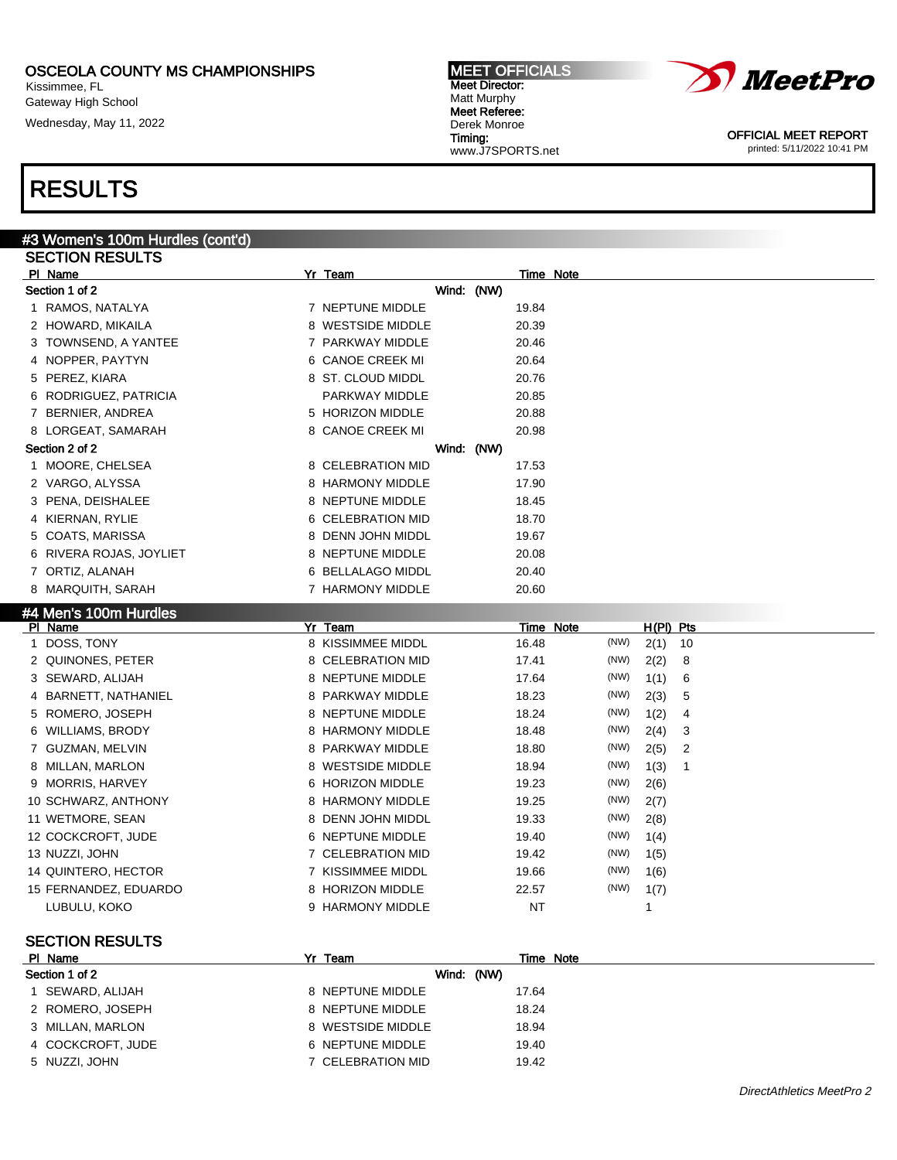Kissimmee, FL Gateway High School Wednesday, May 11, 2022

# *MeetPro*

Matt Murphy Meet Referee: Derek Monroe Timing: www.J7SPORTS.net

MEET OFFICIALS Meet Director:

> OFFICIAL MEET REPORT printed: 5/11/2022 10:41 PM

# RESULTS

#### #3 Women's 100m Hurdles (cont'd) SECTION RESULTS

|    | ,,,,,,,,,,,,,          |                   |       |           |      |             |    |
|----|------------------------|-------------------|-------|-----------|------|-------------|----|
|    | PI Name                | Yr Team           |       | Time Note |      |             |    |
|    | Section 1 of 2         | Wind: (NW)        |       |           |      |             |    |
|    | 1 RAMOS, NATALYA       | 7 NEPTUNE MIDDLE  | 19.84 |           |      |             |    |
|    | 2 HOWARD, MIKAILA      | 8 WESTSIDE MIDDLE | 20.39 |           |      |             |    |
|    | 3   TOWNSEND, A YANTEE | 7 PARKWAY MIDDLE  | 20.46 |           |      |             |    |
|    | 4 NOPPER, PAYTYN       | 6 CANOE CREEK MI  | 20.64 |           |      |             |    |
|    | 5 PEREZ, KIARA         | 8 ST. CLOUD MIDDL | 20.76 |           |      |             |    |
|    | 6 RODRIGUEZ, PATRICIA  | PARKWAY MIDDLE    | 20.85 |           |      |             |    |
|    | 7 BERNIER, ANDREA      | 5 HORIZON MIDDLE  | 20.88 |           |      |             |    |
|    | 8 LORGEAT, SAMARAH     | 8 CANOE CREEK MI  | 20.98 |           |      |             |    |
|    | Section 2 of 2         | Wind: (NW)        |       |           |      |             |    |
|    | 1 MOORE, CHELSEA       | 8 CELEBRATION MID | 17.53 |           |      |             |    |
|    | 2 VARGO, ALYSSA        | 8 HARMONY MIDDLE  | 17.90 |           |      |             |    |
|    | 3 PENA, DEISHALEE      | 8 NEPTUNE MIDDLE  | 18.45 |           |      |             |    |
|    | 4 KIERNAN, RYLIE       | 6 CELEBRATION MID | 18.70 |           |      |             |    |
|    | 5 COATS, MARISSA       | 8 DENN JOHN MIDDL | 19.67 |           |      |             |    |
| 6  | RIVERA ROJAS, JOYLIET  | 8 NEPTUNE MIDDLE  | 20.08 |           |      |             |    |
|    | 7 ORTIZ, ALANAH        | 6 BELLALAGO MIDDL | 20.40 |           |      |             |    |
|    | 8 MARQUITH, SARAH      | 7 HARMONY MIDDLE  | 20.60 |           |      |             |    |
|    | #4 Men's 100m Hurdles  |                   |       |           |      |             |    |
|    | PI Name                | $Yr$ Team         |       | Time Note |      | $H(PI)$ Pts |    |
| 1. | DOSS, TONY             | 8 KISSIMMEE MIDDL | 16.48 |           | (NW) | 2(1)        | 10 |
|    | 2 QUINONES, PETER      | 8 CELEBRATION MID | 17.41 |           | (NW) | 2(2)        | 8  |
|    | 3 SEWARD, ALIJAH       | 8 NEPTUNE MIDDLE  | 17.64 |           | (NW) | 1(1)        | 6  |
|    | 4 BARNETT, NATHANIEL   | 8 PARKWAY MIDDLE  | 18.23 |           | (NW) | 2(3)        | 5  |
|    | 5 ROMERO, JOSEPH       | 8 NEPTUNE MIDDLE  | 18.24 |           | (NW) | 1(2)        | 4  |
|    | 6 WILLIAMS, BRODY      | 8 HARMONY MIDDLE  | 18.48 |           | (NW) | 2(4)        | 3  |
|    | 7 GUZMAN, MELVIN       | 8 PARKWAY MIDDLE  | 18.80 |           | (NW) | 2(5)        | 2  |
|    | 8 MILLAN, MARLON       | 8 WESTSIDE MIDDLE | 18.94 |           | (NW) | 1(3)        | 1  |
|    | 9 MORRIS, HARVEY       | 6 HORIZON MIDDLE  | 19.23 |           | (NW) | 2(6)        |    |
|    | 10 SCHWARZ, ANTHONY    | 8 HARMONY MIDDLE  | 19.25 |           | (NW) | 2(7)        |    |
|    | 11 WETMORE, SEAN       | 8 DENN JOHN MIDDL | 19.33 |           | (NW) | 2(8)        |    |
|    | 12 COCKCROFT, JUDE     | 6 NEPTUNE MIDDLE  | 19.40 |           | (NW) | 1(4)        |    |
|    | 13 NUZZI, JOHN         | 7 CELEBRATION MID | 19.42 |           | (NW) | 1(5)        |    |
|    | 14 QUINTERO, HECTOR    | 7 KISSIMMEE MIDDL | 19.66 |           | (NW) | 1(6)        |    |
|    | 15 FERNANDEZ, EDUARDO  | 8 HORIZON MIDDLE  | 22.57 |           | (NW) | 1(7)        |    |
|    | LUBULU, KOKO           | 9 HARMONY MIDDLE  | ΝT    |           |      | 1           |    |
|    |                        |                   |       |           |      |             |    |

| PI Name           | Team<br>Yr        | Time Note |
|-------------------|-------------------|-----------|
| Section 1 of 2    | Wind: (NW)        |           |
| SEWARD, ALIJAH    | 8 NEPTUNE MIDDLE  | 17.64     |
| 2 ROMERO, JOSEPH  | 8 NEPTUNE MIDDLE  | 18.24     |
| 3 MILLAN, MARLON  | 8 WESTSIDE MIDDLE | 18.94     |
| 4 COCKCROFT, JUDE | 6 NEPTUNE MIDDLE  | 19.40     |
| 5 NUZZI, JOHN     | 7 CELEBRATION MID | 19.42     |
|                   |                   |           |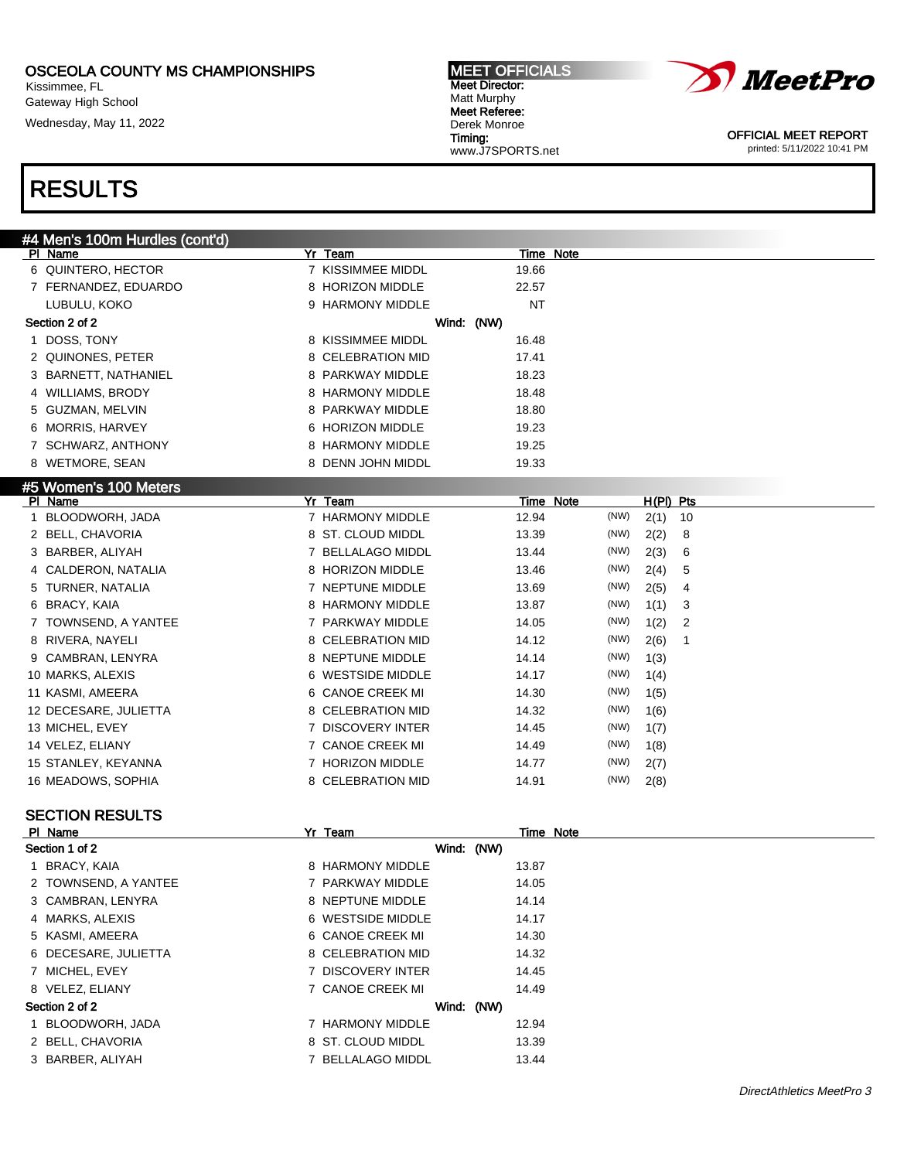Kissimmee, FL Gateway High School

Wednesday, May 11, 2022

#### MEET OFFICIALS Meet Director: Matt Murphy Meet Referee: Derek Monroe Timing: www.J7SPORTS.net



OFFICIAL MEET REPORT printed: 5/11/2022 10:41 PM

## RESULTS

|              | #4 Men's 100m Hurdles (cont'd) |                   |       |                  |      |           |    |
|--------------|--------------------------------|-------------------|-------|------------------|------|-----------|----|
|              | PI Name                        | Yr Team           |       | Time Note        |      |           |    |
|              | 6 QUINTERO, HECTOR             | 7 KISSIMMEE MIDDL | 19.66 |                  |      |           |    |
|              | 7 FERNANDEZ, EDUARDO           | 8 HORIZON MIDDLE  | 22.57 |                  |      |           |    |
|              | LUBULU, KOKO                   | 9 HARMONY MIDDLE  | NT    |                  |      |           |    |
|              | Section 2 of 2                 | Wind: (NW)        |       |                  |      |           |    |
|              | 1 DOSS, TONY                   | 8 KISSIMMEE MIDDL | 16.48 |                  |      |           |    |
|              | 2 QUINONES, PETER              | 8 CELEBRATION MID | 17.41 |                  |      |           |    |
|              | 3 BARNETT, NATHANIEL           | 8 PARKWAY MIDDLE  | 18.23 |                  |      |           |    |
|              | 4 WILLIAMS, BRODY              | 8 HARMONY MIDDLE  | 18.48 |                  |      |           |    |
|              | 5 GUZMAN, MELVIN               | 8 PARKWAY MIDDLE  | 18.80 |                  |      |           |    |
|              | 6 MORRIS, HARVEY               | 6 HORIZON MIDDLE  | 19.23 |                  |      |           |    |
|              | 7 SCHWARZ, ANTHONY             | 8 HARMONY MIDDLE  | 19.25 |                  |      |           |    |
|              | 8 WETMORE, SEAN                | 8 DENN JOHN MIDDL | 19.33 |                  |      |           |    |
|              | #5 Women's 100 Meters          |                   |       |                  |      |           |    |
|              | PI Name                        | <b>Yr Team</b>    |       | <b>Time Note</b> |      | H(PI) Pts |    |
| $\mathbf{1}$ | BLOODWORH, JADA                | 7 HARMONY MIDDLE  | 12.94 |                  | (NW) | 2(1)      | 10 |
|              | 2 BELL, CHAVORIA               | 8 ST. CLOUD MIDDL | 13.39 |                  | (NW) | 2(2)      | 8  |
|              | 3 BARBER, ALIYAH               | 7 BELLALAGO MIDDL | 13.44 |                  | (NW) | 2(3)      | 6  |
|              | 4 CALDERON, NATALIA            | 8 HORIZON MIDDLE  | 13.46 |                  | (NW) | 2(4)      | 5  |
|              | 5 TURNER, NATALIA              | 7 NEPTUNE MIDDLE  | 13.69 |                  | (NW) | 2(5)      | 4  |
|              | 6 BRACY, KAIA                  | 8 HARMONY MIDDLE  | 13.87 |                  | (NW) | 1(1)      | 3  |
|              | 7 TOWNSEND, A YANTEE           | 7 PARKWAY MIDDLE  | 14.05 |                  | (NW) | 1(2)      | 2  |
| 8            | RIVERA, NAYELI                 | 8 CELEBRATION MID | 14.12 |                  | (NW) | 2(6)      | 1  |
|              | 9 CAMBRAN, LENYRA              | 8 NEPTUNE MIDDLE  | 14.14 |                  | (NW) | 1(3)      |    |
|              | 10 MARKS, ALEXIS               | 6 WESTSIDE MIDDLE | 14.17 |                  | (NW) | 1(4)      |    |
|              | 11 KASMI, AMEERA               | 6 CANOE CREEK MI  | 14.30 |                  | (NW) | 1(5)      |    |
|              | 12 DECESARE, JULIETTA          | 8 CELEBRATION MID | 14.32 |                  | (NW) | 1(6)      |    |
|              | 13 MICHEL, EVEY                | 7 DISCOVERY INTER | 14.45 |                  | (NW) | 1(7)      |    |
|              | 14 VELEZ, ELIANY               | 7 CANOE CREEK MI  | 14.49 |                  | (NW) | 1(8)      |    |
|              | 15 STANLEY, KEYANNA            | 7 HORIZON MIDDLE  | 14.77 |                  | (NW) | 2(7)      |    |
|              | 16 MEADOWS, SOPHIA             | 8 CELEBRATION MID | 14.91 |                  | (NW) | 2(8)      |    |
|              |                                |                   |       |                  |      |           |    |
|              | <b>SECTION RESULTS</b>         |                   |       |                  |      |           |    |
|              | PI Name                        | Yr Team           |       | Time Note        |      |           |    |
|              | Section 1 of 2                 | Wind: (NW)        |       |                  |      |           |    |
|              | 1 BRACY, KAIA                  | 8 HARMONY MIDDLE  | 13.87 |                  |      |           |    |
|              | 2 TOWNSEND, A YANTEE           | 7 PARKWAY MIDDLE  | 14.05 |                  |      |           |    |
|              | 3 CAMBRAN, LENYRA              | 8 NEPTUNE MIDDLE  | 14.14 |                  |      |           |    |
|              | 4 MARKS, ALEXIS                | 6 WESTSIDE MIDDLE | 14.17 |                  |      |           |    |

- 5 KASMI, AMEERA 6 CANOE CREEK MI 14.30
- 6 DECESARE, JULIETTA 8 CELEBRATION MID 14.32 7 MICHEL, EVEY **14.45** 7 DISCOVERY INTER 14.45
- 
- 8 VELEZ, ELIANY **14.49** 7 CANOE CREEK MI
- Section 2 of 2 Wind: (NW)

1 BLOODWORH, JADA 12.94

- 2 BELL, CHAVORIA 8 ST. CLOUD MIDDL 13.39
- 3 BARBER, ALIYAH 7 BELLALAGO MIDDL 13.44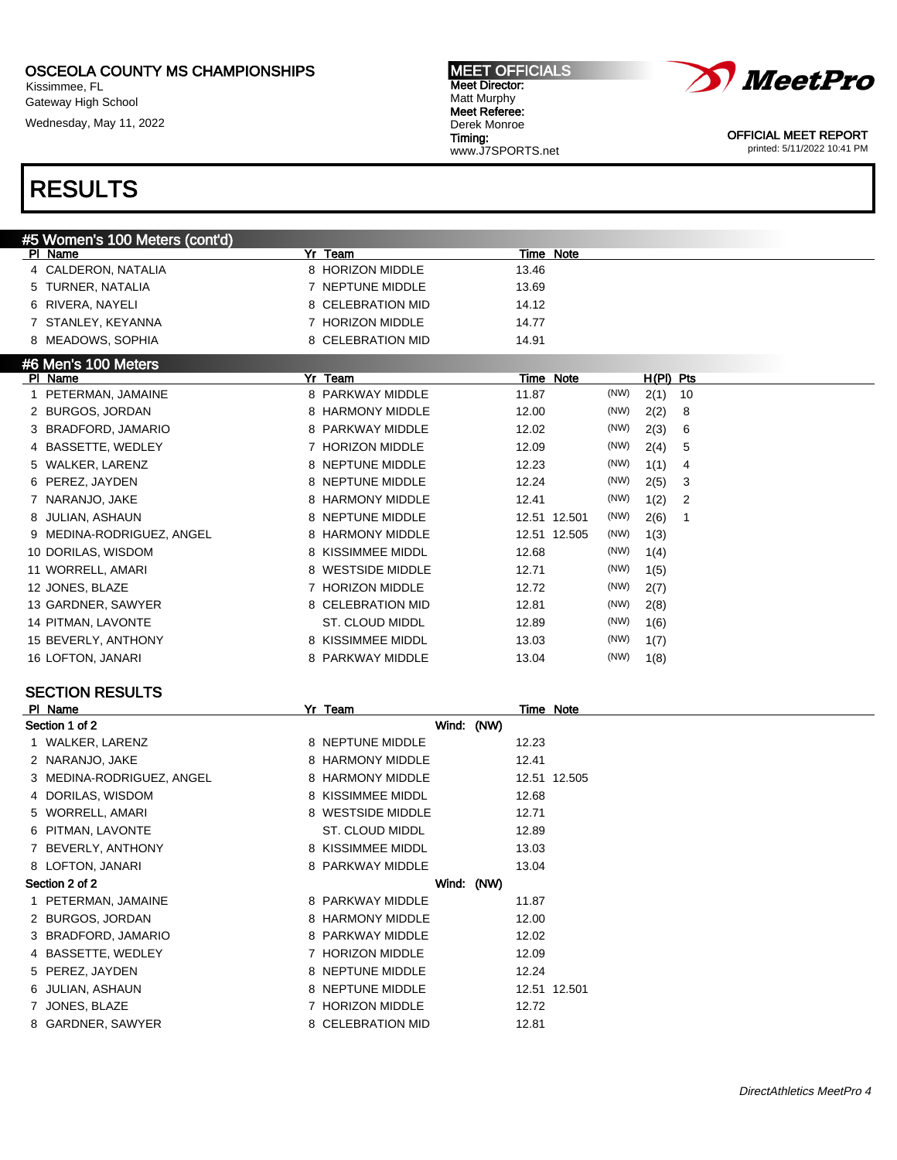Kissimmee, FL Gateway High School

Wednesday, May 11, 2022

#### MEET OFFICIALS Meet Director: Matt Murphy Meet Referee: Derek Monroe Timing: www.J7SPORTS.net



OFFICIAL MEET REPORT printed: 5/11/2022 10:41 PM

# RESULTS

| #5 Women's 100 Meters (cont'd) |                            |                                   |
|--------------------------------|----------------------------|-----------------------------------|
| PI Name                        | Yr Team                    | Time Note                         |
| 4 CALDERON, NATALIA            | 8 HORIZON MIDDLE           | 13.46                             |
| TURNER, NATALIA                | NEPTUNE MIDDLE             | 13.69                             |
| RIVERA, NAYELI<br>6            | 8 CELEBRATION MID          | 14.12                             |
| STANLEY, KEYANNA               | <b>HORIZON MIDDLE</b>      | 14.77                             |
| 8 MEADOWS, SOPHIA              | 8 CELEBRATION MID          | 14.91                             |
| #6 Men's 100 Meters            |                            |                                   |
| PI Name                        | Yr Team                    | Time Note<br>H(PI) Pts            |
| PETERMAN, JAMAINE              | 8 PARKWAY MIDDLE           | (NW)<br>11.87<br>2(1)<br>10       |
| 2 BURGOS, JORDAN               | 8 HARMONY MIDDLE           | (NW)<br>12.00<br>2(2)<br>8        |
| BRADFORD, JAMARIO              | 8 PARKWAY MIDDLE           | 12.02<br>(NW)<br>2(3)<br>6        |
| 4 BASSETTE, WEDLEY             | <b>HORIZON MIDDLE</b><br>7 | (NW)<br>2(4)<br>12.09<br>5        |
| WALKER, LARENZ<br>5.           | 8 NEPTUNE MIDDLE           | (NW)<br>12.23<br>1(1)<br>4        |
| PEREZ, JAYDEN                  | 8 NEPTUNE MIDDLE           | (NW)<br>12.24<br>2(5)<br>3        |
| NARANJO, JAKE                  | <b>HARMONY MIDDLE</b><br>8 | (NW)<br>12.41<br>1(2)<br>2        |
| JULIAN, ASHAUN                 | 8 NEPTUNE MIDDLE           | (NW)<br>2(6)<br>12.51 12.501<br>1 |
| 9 MEDINA-RODRIGUEZ, ANGEL      | 8 HARMONY MIDDLE           | (NW)<br>12.51 12.505<br>1(3)      |
| 10 DORILAS, WISDOM             | 8 KISSIMMEE MIDDL          | (NW)<br>12.68<br>1(4)             |
| 11 WORRELL, AMARI              | 8 WESTSIDE MIDDLE          | (NW)<br>12.71<br>1(5)             |
| 12 JONES, BLAZE                | 7 HORIZON MIDDLE           | (NW)<br>12.72<br>2(7)             |
| 13 GARDNER, SAWYER             | 8 CELEBRATION MID          | (NW)<br>12.81<br>2(8)             |
| 14 PITMAN, LAVONTE             | ST. CLOUD MIDDL            | (NW)<br>12.89<br>1(6)             |
| 15 BEVERLY, ANTHONY            | 8 KISSIMMEE MIDDL          | (NW)<br>13.03<br>1(7)             |
| 16 LOFTON, JANARI              | 8 PARKWAY MIDDLE           | (NW)<br>13.04<br>1(8)             |
|                                |                            |                                   |

| PI Name                   | Yr Team                    | Time Note    |
|---------------------------|----------------------------|--------------|
| Section 1 of 2            | Wind: (NW)                 |              |
| 1 WALKER, LARENZ          | 8 NEPTUNE MIDDLE           | 12.23        |
| 2 NARANJO, JAKE           | 8 HARMONY MIDDLE           | 12.41        |
| 3 MEDINA-RODRIGUEZ, ANGEL | 8 HARMONY MIDDLE           | 12.51 12.505 |
| 4 DORILAS, WISDOM         | 8 KISSIMMEE MIDDL          | 12.68        |
| 5 WORRELL, AMARI          | 8 WESTSIDE MIDDLE          | 12.71        |
| 6 PITMAN, LAVONTE         | ST. CLOUD MIDDL            | 12.89        |
| BEVERLY, ANTHONY          | 8 KISSIMMEE MIDDL          | 13.03        |
| 8 LOFTON, JANARI          | 8 PARKWAY MIDDLE           | 13.04        |
| Section 2 of 2            | Wind: (NW)                 |              |
| 1 PETERMAN, JAMAINE       | 8 PARKWAY MIDDLE           | 11.87        |
| 2 BURGOS, JORDAN          | 8 HARMONY MIDDLE           | 12.00        |
| 3 BRADFORD, JAMARIO       | 8 PARKWAY MIDDLE           | 12.02        |
| 4 BASSETTE, WEDLEY        | <b>HORIZON MIDDLE</b>      | 12.09        |
| 5 PEREZ, JAYDEN           | 8 NEPTUNE MIDDLE           | 12.24        |
| 6 JULIAN, ASHAUN          | 8 NEPTUNE MIDDLE           | 12.51 12.501 |
| JONES, BLAZE              | <b>HORIZON MIDDLE</b><br>7 | 12.72        |
| 8 GARDNER, SAWYER         | 8 CELEBRATION MID          | 12.81        |
|                           |                            |              |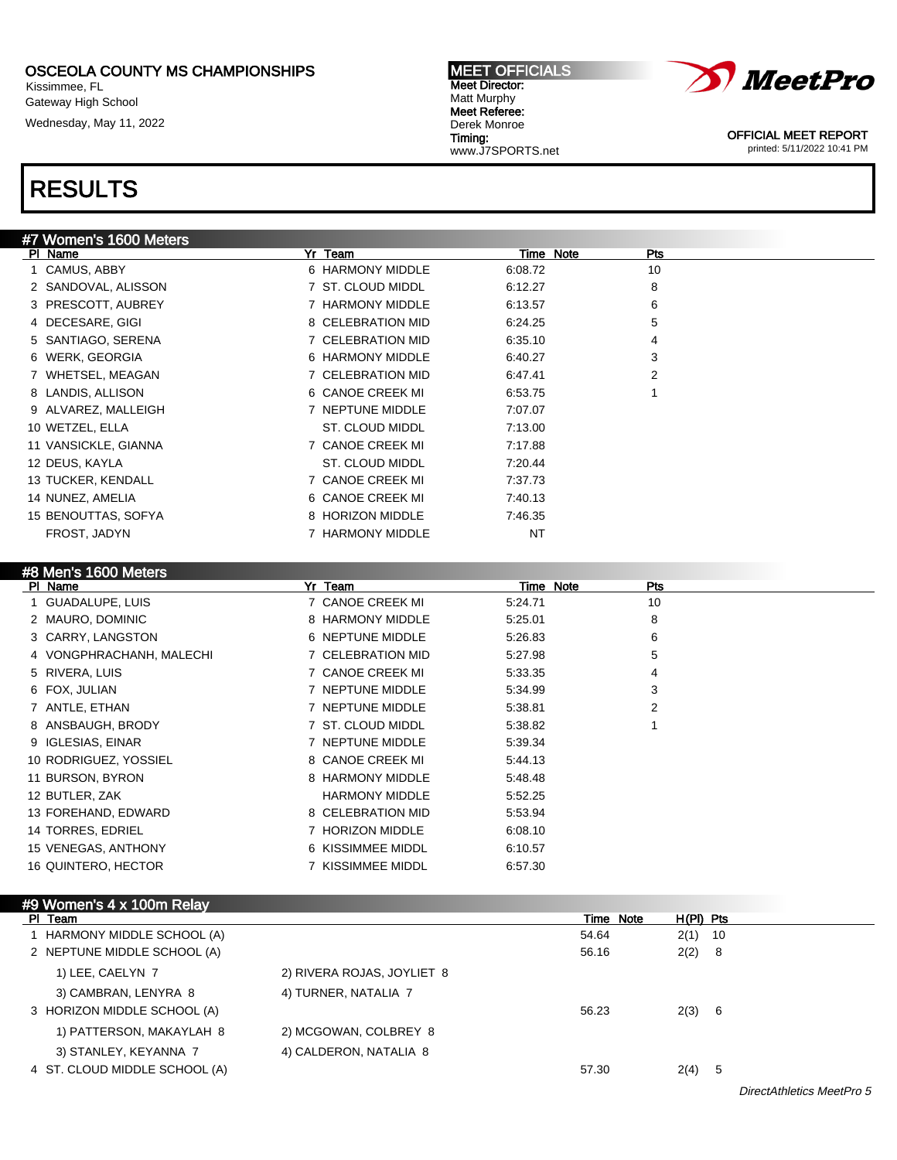Kissimmee, FL Gateway High School Wednesday, May 11, 2022

RESULTS





OFFICIAL MEET REPORT printed: 5/11/2022 10:41 PM

| #7 Women's 1600 Meters |                   |           |     |
|------------------------|-------------------|-----------|-----|
| PI Name                | Yr Team           | Time Note | Pts |
| 1 CAMUS, ABBY          | 6 HARMONY MIDDLE  | 6:08.72   | 10  |
| 2 SANDOVAL, ALISSON    | 7 ST. CLOUD MIDDL | 6:12.27   | 8   |
| 3 PRESCOTT, AUBREY     | 7 HARMONY MIDDLE  | 6:13.57   | 6   |
| 4 DECESARE, GIGI       | 8 CELEBRATION MID | 6:24.25   | 5   |
| 5 SANTIAGO, SERENA     | 7 CELEBRATION MID | 6:35.10   | 4   |
| 6 WERK, GEORGIA        | 6 HARMONY MIDDLE  | 6:40.27   | 3   |
| 7 WHETSEL, MEAGAN      | 7 CELEBRATION MID | 6:47.41   | 2   |
| 8 LANDIS, ALLISON      | 6 CANOE CREEK MI  | 6:53.75   |     |
| 9 ALVAREZ, MALLEIGH    | 7 NEPTUNE MIDDLE  | 7:07.07   |     |
| 10 WETZEL, ELLA        | ST. CLOUD MIDDL   | 7:13.00   |     |
| 11 VANSICKLE, GIANNA   | 7 CANOE CREEK MI  | 7:17.88   |     |
| 12 DEUS, KAYLA         | ST. CLOUD MIDDL   | 7:20.44   |     |
| 13 TUCKER, KENDALL     | 7 CANOE CREEK MI  | 7:37.73   |     |
| 14 NUNEZ, AMELIA       | 6 CANOE CREEK MI  | 7:40.13   |     |
| 15 BENOUTTAS, SOFYA    | 8 HORIZON MIDDLE  | 7:46.35   |     |
| FROST, JADYN           | 7 HARMONY MIDDLE  | <b>NT</b> |     |

### #8 Men's 1600 Meters

| PI Name                  | Yr Team               | Time Note | Pts |
|--------------------------|-----------------------|-----------|-----|
| 1 GUADALUPE, LUIS        | 7 CANOE CREEK MI      | 5:24.71   | 10  |
| 2 MAURO, DOMINIC         | 8 HARMONY MIDDLE      | 5:25.01   | 8   |
| 3 CARRY, LANGSTON        | 6 NEPTUNE MIDDLE      | 5.26.83   | 6   |
| 4 VONGPHRACHANH, MALECHI | 7 CELEBRATION MID     | 5:27.98   | 5   |
| 5 RIVERA, LUIS           | 7 CANOE CREEK MI      | 5:33.35   | 4   |
| 6 FOX, JULIAN            | 7 NEPTUNE MIDDLE      | 5:34.99   | 3   |
| 7 ANTLE, ETHAN           | 7 NEPTUNE MIDDLE      | 5:38.81   | 2   |
| 8 ANSBAUGH, BRODY        | 7 ST. CLOUD MIDDL     | 5:38.82   |     |
| 9 IGLESIAS, EINAR        | 7 NEPTUNE MIDDLE      | 5.39.34   |     |
| 10 RODRIGUEZ, YOSSIEL    | 8 CANOE CREEK MI      | 5:44.13   |     |
| 11 BURSON, BYRON         | 8 HARMONY MIDDLE      | 5.48.48   |     |
| 12 BUTLER, ZAK           | <b>HARMONY MIDDLE</b> | 5:52.25   |     |
| 13 FOREHAND, EDWARD      | 8 CELEBRATION MID     | 5.53.94   |     |
| 14 TORRES, EDRIEL        | 7 HORIZON MIDDLE      | 6:08.10   |     |
| 15 VENEGAS, ANTHONY      | 6 KISSIMMEE MIDDL     | 6:10.57   |     |
| 16 QUINTERO, HECTOR      | 7 KISSIMMEE MIDDL     | 6.57.30   |     |

### #9 Women's 4 x 100m Relay

| PI Team                       |                            | Time Note | H(PI) Pts |     |
|-------------------------------|----------------------------|-----------|-----------|-----|
| HARMONY MIDDLE SCHOOL (A)     |                            | 54.64     | $2(1)$ 10 |     |
| 2 NEPTUNE MIDDLE SCHOOL (A)   |                            | 56.16     | 2(2)      | - 8 |
| 1) LEE, CAELYN 7              | 2) RIVERA ROJAS, JOYLIET 8 |           |           |     |
| 3) CAMBRAN, LENYRA 8          | 4) TURNER, NATALIA 7       |           |           |     |
| 3 HORIZON MIDDLE SCHOOL (A)   |                            | 56.23     | 2(3) 6    |     |
| 1) PATTERSON, MAKAYLAH 8      | 2) MCGOWAN, COLBREY 8      |           |           |     |
| 3) STANLEY, KEYANNA 7         | 4) CALDERON, NATALIA 8     |           |           |     |
| 4 ST. CLOUD MIDDLE SCHOOL (A) |                            | 57.30     | 2(4)      | -5  |

DirectAthletics MeetPro 5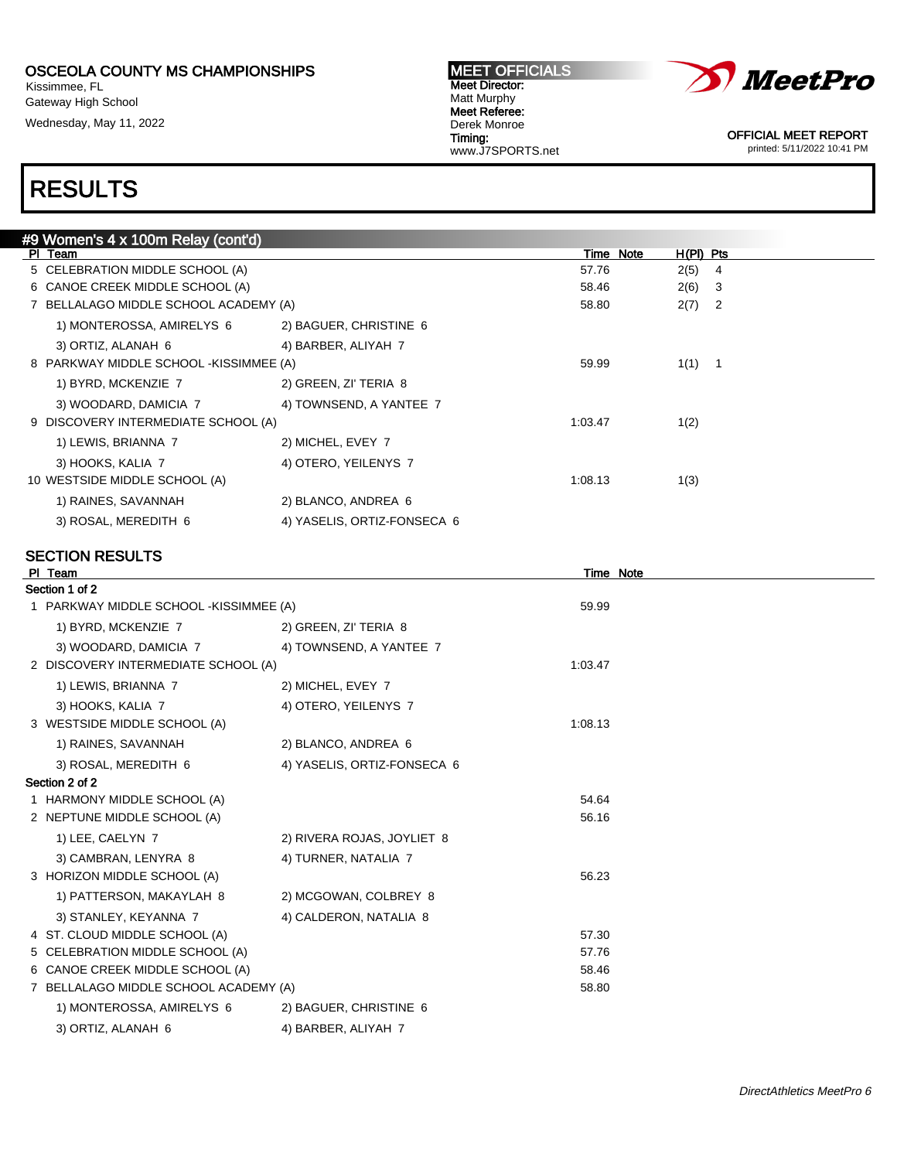Kissimmee, FL Gateway High School Wednesday, May 11, 2022 MEET OFFICIALS Meet Director: Matt Murphy Meet Referee: Derek Monroe Timing: www.J7SPORTS.net



OFFICIAL MEET REPORT printed: 5/11/2022 10:41 PM

# RESULTS

| #9 Women's 4 x 100m Relay (cont'd)     |                             |           |             |                |
|----------------------------------------|-----------------------------|-----------|-------------|----------------|
| PI Team                                |                             | Time Note | $H(PI)$ Pts |                |
| 5 CELEBRATION MIDDLE SCHOOL (A)        |                             | 57.76     | 2(5)        | - 4            |
| 6 CANOE CREEK MIDDLE SCHOOL (A)        |                             | 58.46     | 2(6)        | -3             |
| 7 BELLALAGO MIDDLE SCHOOL ACADEMY (A)  |                             | 58.80     | 2(7)        | $\overline{2}$ |
| 1) MONTEROSSA, AMIRELYS 6              | 2) BAGUER, CHRISTINE 6      |           |             |                |
| 3) ORTIZ, ALANAH 6                     | 4) BARBER, ALIYAH 7         |           |             |                |
| 8 PARKWAY MIDDLE SCHOOL -KISSIMMEE (A) | 59.99                       | $1(1)$ 1  |             |                |
| 1) BYRD, MCKENZIE 7                    | 2) GREEN, ZI' TERIA 8       |           |             |                |
| 3) WOODARD, DAMICIA 7                  | 4) TOWNSEND, A YANTEE 7     |           |             |                |
| 9 DISCOVERY INTERMEDIATE SCHOOL (A)    |                             | 1:03.47   | 1(2)        |                |
| 1) LEWIS, BRIANNA 7                    | 2) MICHEL, EVEY 7           |           |             |                |
| 3) HOOKS, KALIA 7                      | 4) OTERO, YEILENYS 7        |           |             |                |
| 10 WESTSIDE MIDDLE SCHOOL (A)          |                             | 1:08.13   | 1(3)        |                |
| 1) RAINES, SAVANNAH                    | 2) BLANCO, ANDREA 6         |           |             |                |
| 3) ROSAL, MEREDITH 6                   | 4) YASELIS, ORTIZ-FONSECA 6 |           |             |                |

| PI Team                                |                             | <b>Time Note</b> |  |
|----------------------------------------|-----------------------------|------------------|--|
| Section 1 of 2                         |                             |                  |  |
| 1 PARKWAY MIDDLE SCHOOL -KISSIMMEE (A) |                             | 59.99            |  |
| 1) BYRD, MCKENZIE 7                    | 2) GREEN, ZI' TERIA 8       |                  |  |
| 3) WOODARD, DAMICIA 7                  | 4) TOWNSEND, A YANTEE 7     |                  |  |
| 2 DISCOVERY INTERMEDIATE SCHOOL (A)    |                             | 1:03.47          |  |
| 1) LEWIS, BRIANNA 7                    | 2) MICHEL, EVEY 7           |                  |  |
| 3) HOOKS, KALIA 7                      | 4) OTERO, YEILENYS 7        |                  |  |
| 3 WESTSIDE MIDDLE SCHOOL (A)           |                             | 1:08.13          |  |
| 1) RAINES, SAVANNAH                    | 2) BLANCO, ANDREA 6         |                  |  |
| 3) ROSAL, MEREDITH 6                   | 4) YASELIS, ORTIZ-FONSECA 6 |                  |  |
| Section 2 of 2                         |                             |                  |  |
| 1 HARMONY MIDDLE SCHOOL (A)            |                             | 54.64            |  |
| 2 NEPTUNE MIDDLE SCHOOL (A)            |                             | 56.16            |  |
| 1) LEE, CAELYN 7                       | 2) RIVERA ROJAS, JOYLIET 8  |                  |  |
| 3) CAMBRAN, LENYRA 8                   | 4) TURNER, NATALIA 7        |                  |  |
| 3 HORIZON MIDDLE SCHOOL (A)            |                             | 56.23            |  |
| 1) PATTERSON, MAKAYLAH 8               | 2) MCGOWAN, COLBREY 8       |                  |  |
| 3) STANLEY, KEYANNA 7                  | 4) CALDERON, NATALIA 8      |                  |  |
| 4 ST. CLOUD MIDDLE SCHOOL (A)          |                             | 57.30            |  |
| 5 CELEBRATION MIDDLE SCHOOL (A)        |                             | 57.76            |  |
| 6 CANOE CREEK MIDDLE SCHOOL (A)        |                             | 58.46            |  |
| 7 BELLALAGO MIDDLE SCHOOL ACADEMY (A)  |                             | 58.80            |  |
| 1) MONTEROSSA, AMIRELYS 6              | 2) BAGUER, CHRISTINE 6      |                  |  |
| 3) ORTIZ, ALANAH 6                     | 4) BARBER, ALIYAH 7         |                  |  |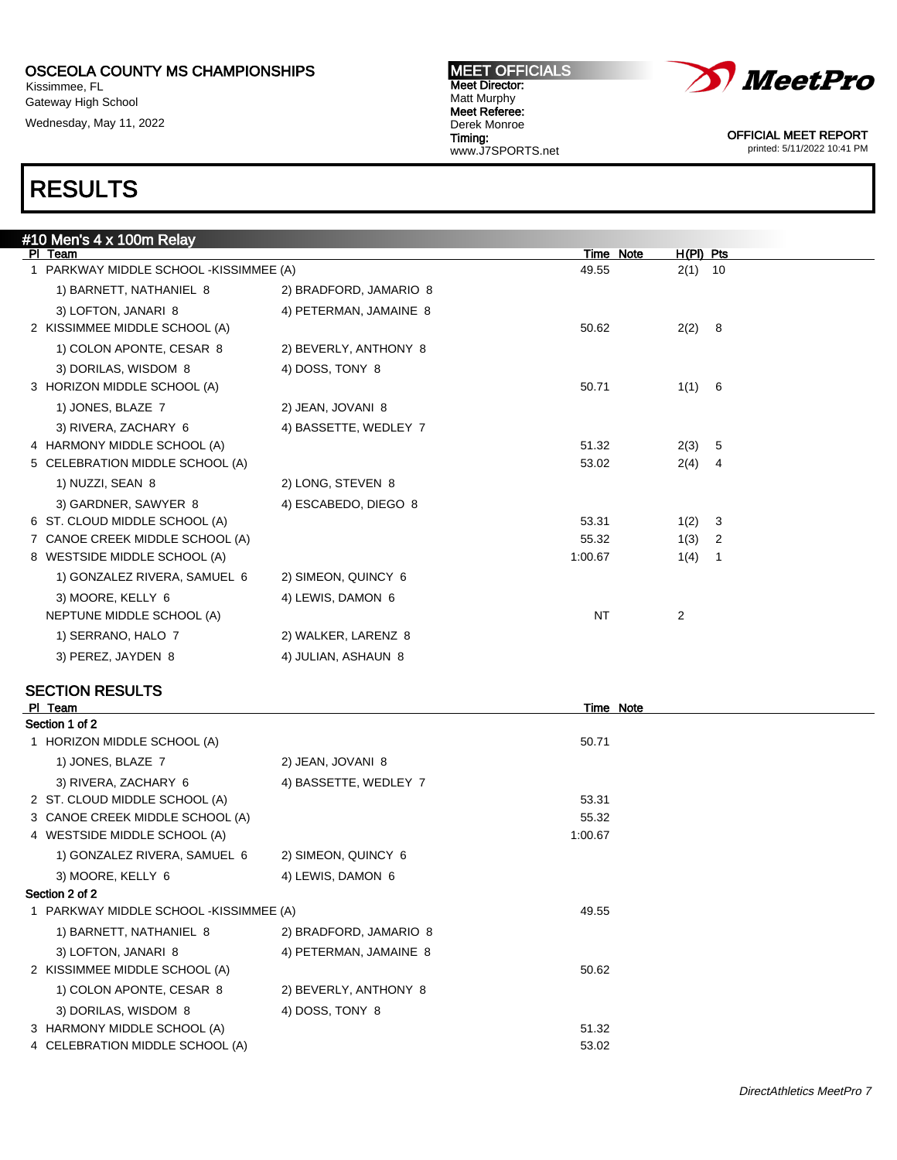Kissimmee, FL Gateway High School Wednesday, May 11, 2022



Meet Director: Matt Murphy Meet Referee: Derek Monroe Timing: www.J7SPORTS.net

MEET OFFICIALS

OFFICIAL MEET REPORT printed: 5/11/2022 10:41 PM

# RESULTS

| #10 Men's 4 x 100m Relay                |                        |           |           |                |
|-----------------------------------------|------------------------|-----------|-----------|----------------|
| PI Team                                 |                        | Time Note | H(PI) Pts |                |
| 1 PARKWAY MIDDLE SCHOOL - KISSIMMEE (A) |                        | 49.55     | $2(1)$ 10 |                |
| 1) BARNETT, NATHANIEL 8                 | 2) BRADFORD, JAMARIO 8 |           |           |                |
| 3) LOFTON, JANARI 8                     | 4) PETERMAN, JAMAINE 8 |           |           |                |
| 2 KISSIMMEE MIDDLE SCHOOL (A)           |                        | 50.62     | 2(2) 8    |                |
| 1) COLON APONTE, CESAR 8                | 2) BEVERLY, ANTHONY 8  |           |           |                |
| 3) DORILAS, WISDOM 8                    | 4) DOSS, TONY 8        |           |           |                |
| 3 HORIZON MIDDLE SCHOOL (A)             |                        | 50.71     | 1(1) 6    |                |
| 1) JONES, BLAZE 7                       | 2) JEAN, JOVANI 8      |           |           |                |
| 3) RIVERA, ZACHARY 6                    | 4) BASSETTE, WEDLEY 7  |           |           |                |
| 4 HARMONY MIDDLE SCHOOL (A)             |                        | 51.32     | 2(3)      | - 5            |
| 5 CELEBRATION MIDDLE SCHOOL (A)         |                        | 53.02     | 2(4)      | 4              |
| 1) NUZZI, SEAN 8                        | 2) LONG, STEVEN 8      |           |           |                |
| 3) GARDNER, SAWYER 8                    | 4) ESCABEDO, DIEGO 8   |           |           |                |
| 6 ST. CLOUD MIDDLE SCHOOL (A)           |                        | 53.31     | 1(2) 3    |                |
| 7 CANOE CREEK MIDDLE SCHOOL (A)         |                        | 55.32     | 1(3)      | $\overline{2}$ |
| 8 WESTSIDE MIDDLE SCHOOL (A)            |                        | 1:00.67   | 1(4)      | -1             |
| 1) GONZALEZ RIVERA, SAMUEL 6            | 2) SIMEON, QUINCY 6    |           |           |                |
| 3) MOORE, KELLY 6                       | 4) LEWIS, DAMON 6      |           |           |                |
| NEPTUNE MIDDLE SCHOOL (A)               |                        | <b>NT</b> | 2         |                |
| 1) SERRANO, HALO 7                      | 2) WALKER, LARENZ 8    |           |           |                |
| 3) PEREZ, JAYDEN 8                      | 4) JULIAN, ASHAUN 8    |           |           |                |
|                                         |                        |           |           |                |

| PI Team                                |                        | Time Note |  |
|----------------------------------------|------------------------|-----------|--|
| Section 1 of 2                         |                        |           |  |
| 1 HORIZON MIDDLE SCHOOL (A)            |                        | 50.71     |  |
| 1) JONES, BLAZE 7                      | 2) JEAN, JOVANI 8      |           |  |
| 3) RIVERA, ZACHARY 6                   | 4) BASSETTE, WEDLEY 7  |           |  |
| 2 ST. CLOUD MIDDLE SCHOOL (A)          |                        | 53.31     |  |
| 3 CANOE CREEK MIDDLE SCHOOL (A)        |                        | 55.32     |  |
| 4 WESTSIDE MIDDLE SCHOOL (A)           |                        | 1:00.67   |  |
| 1) GONZALEZ RIVERA, SAMUEL 6           | 2) SIMEON, QUINCY 6    |           |  |
| 3) MOORE, KELLY 6                      | 4) LEWIS, DAMON 6      |           |  |
| Section 2 of 2                         |                        |           |  |
| 1 PARKWAY MIDDLE SCHOOL -KISSIMMEE (A) |                        | 49.55     |  |
| 1) BARNETT, NATHANIEL 8                | 2) BRADFORD, JAMARIO 8 |           |  |
| 3) LOFTON, JANARI 8                    | 4) PETERMAN, JAMAINE 8 |           |  |
| 2 KISSIMMEE MIDDLE SCHOOL (A)          |                        | 50.62     |  |
| 1) COLON APONTE, CESAR 8               | 2) BEVERLY, ANTHONY 8  |           |  |
| 3) DORILAS, WISDOM 8                   | 4) DOSS, TONY 8        |           |  |
| 3 HARMONY MIDDLE SCHOOL (A)            |                        | 51.32     |  |
| 4 CELEBRATION MIDDLE SCHOOL (A)        |                        | 53.02     |  |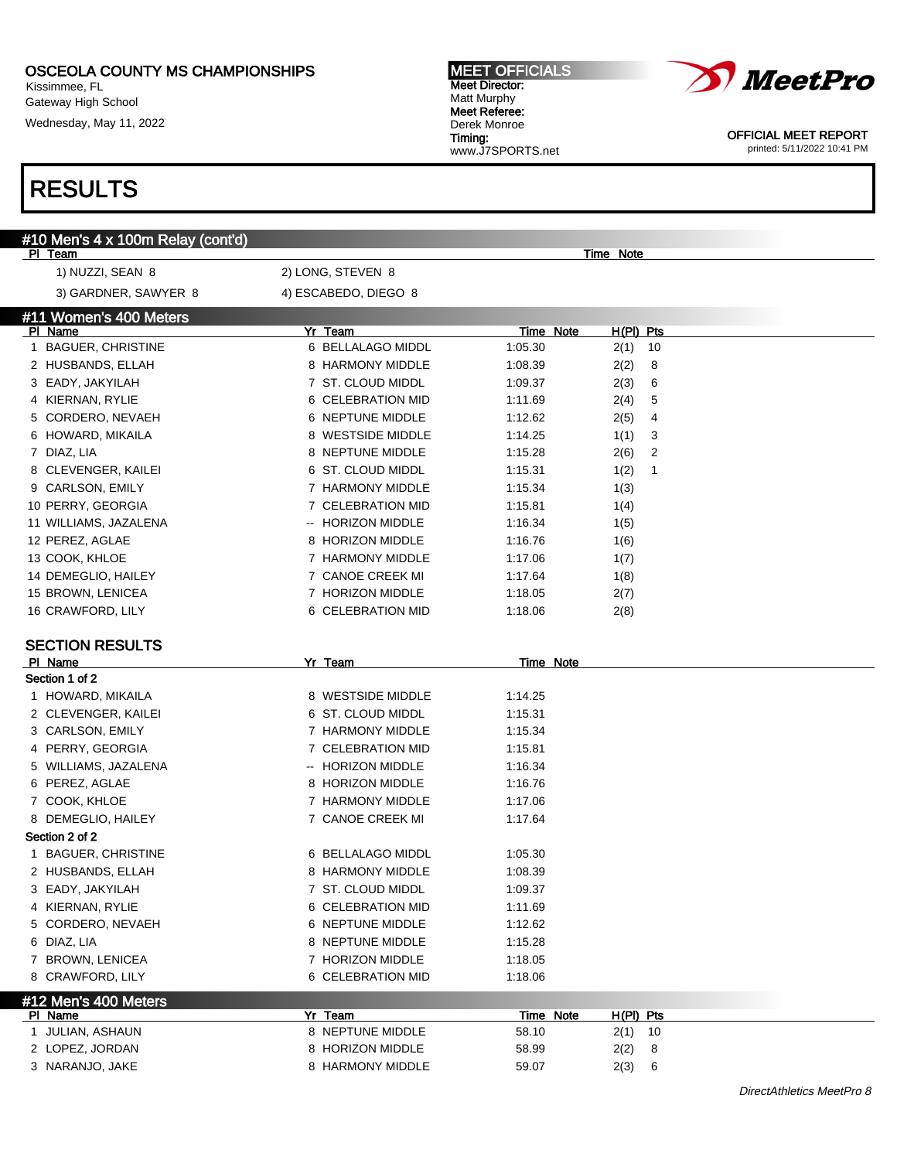Kissimmee, FL Gateway High School

Wednesday, May 11, 2022

#### MEET OFFICIALS Meet Director: Matt Murphy Meet Referee: Derek Monroe Timing: www.J7SPORTS.net



OFFICIAL MEET REPORT printed: 5/11/2022 10:41 PM

| #10 Men's 4 x 100m Relay (cont'd)    |                             |                                                 |  |
|--------------------------------------|-----------------------------|-------------------------------------------------|--|
| PI Team                              |                             | <b>Time Note</b>                                |  |
| 1) NUZZI, SEAN 8                     | 2) LONG, STEVEN 8           |                                                 |  |
| 3) GARDNER, SAWYER 8                 | 4) ESCABEDO, DIEGO 8        |                                                 |  |
| #11 Women's 400 Meters               |                             |                                                 |  |
| PI Name                              | Yr Team                     | Time Note<br>H(PI) Pts                          |  |
| 1 BAGUER, CHRISTINE                  | 6 BELLALAGO MIDDL           | 1:05.30<br>$2(1)$ 10                            |  |
| 2 HUSBANDS, ELLAH                    | 8 HARMONY MIDDLE            | 1:08.39<br>2(2)<br>8                            |  |
| 3 EADY, JAKYILAH                     | 7 ST. CLOUD MIDDL           | 2(3)<br>6<br>1:09.37                            |  |
| 4 KIERNAN, RYLIE                     | 6 CELEBRATION MID           | 2(4)<br>5<br>1:11.69                            |  |
| 5 CORDERO, NEVAEH                    | 6 NEPTUNE MIDDLE            | 1:12.62<br>2(5)<br>4                            |  |
| 6 HOWARD, MIKAILA                    | 8 WESTSIDE MIDDLE           | 1:14.25<br>1(1)<br>3                            |  |
| 7 DIAZ, LIA                          | 8 NEPTUNE MIDDLE            | 1:15.28<br>2(6)<br>2                            |  |
| 8 CLEVENGER, KAILEI                  | 6 ST. CLOUD MIDDL           | 1:15.31<br>1(2)<br>1                            |  |
| 9 CARLSON, EMILY                     | 7 HARMONY MIDDLE            | 1:15.34<br>1(3)                                 |  |
| 10 PERRY, GEORGIA                    | 7 CELEBRATION MID           | 1:15.81<br>1(4)                                 |  |
| 11 WILLIAMS, JAZALENA                | -- HORIZON MIDDLE           | 1:16.34<br>1(5)                                 |  |
| 12 PEREZ, AGLAE                      | 8 HORIZON MIDDLE            | 1:16.76<br>1(6)                                 |  |
| 13 COOK, KHLOE                       | 7 HARMONY MIDDLE            | 1:17.06<br>1(7)                                 |  |
| 14 DEMEGLIO, HAILEY                  | 7 CANOE CREEK MI            | 1:17.64<br>1(8)                                 |  |
| 15 BROWN, LENICEA                    | 7 HORIZON MIDDLE            | 1:18.05<br>2(7)                                 |  |
| 16 CRAWFORD, LILY                    | 6 CELEBRATION MID           | 1:18.06<br>2(8)                                 |  |
|                                      |                             |                                                 |  |
| <b>SECTION RESULTS</b><br>PI Name    | Yr Team                     | Time Note                                       |  |
| Section 1 of 2                       |                             |                                                 |  |
| 1 HOWARD, MIKAILA                    | 8 WESTSIDE MIDDLE           | 1:14.25                                         |  |
| 2 CLEVENGER, KAILEI                  | 6 ST. CLOUD MIDDL           | 1:15.31                                         |  |
| 3 CARLSON, EMILY                     | 7 HARMONY MIDDLE            | 1:15.34                                         |  |
| 4 PERRY, GEORGIA                     | 7 CELEBRATION MID           | 1:15.81                                         |  |
| 5 WILLIAMS, JAZALENA                 | -- HORIZON MIDDLE           | 1:16.34                                         |  |
| 6 PEREZ, AGLAE                       | 8 HORIZON MIDDLE            | 1:16.76                                         |  |
| 7 COOK, KHLOE                        | 7 HARMONY MIDDLE            | 1:17.06                                         |  |
| 8 DEMEGLIO, HAILEY                   | 7 CANOE CREEK MI            | 1:17.64                                         |  |
| Section 2 of 2                       |                             |                                                 |  |
| 1 BAGUER, CHRISTINE                  | 6 BELLALAGO MIDDL           | 1:05.30                                         |  |
| 2 HUSBANDS, ELLAH                    | 8 HARMONY MIDDLE            | 1:08.39                                         |  |
| 3 EADY, JAKYILAH                     | 7 ST. CLOUD MIDDL           | 1:09.37                                         |  |
| 4 KIERNAN, RYLIE                     | 6 CELEBRATION MID           | 1:11.69                                         |  |
| 5 CORDERO, NEVAEH                    | 6 NEPTUNE MIDDLE            |                                                 |  |
| 6 DIAZ, LIA                          | 8 NEPTUNE MIDDLE            | 1:12.62                                         |  |
|                                      | 7 HORIZON MIDDLE            | 1:15.28                                         |  |
| 7 BROWN, LENICEA<br>8 CRAWFORD, LILY |                             | 1:18.05                                         |  |
|                                      | 6 CELEBRATION MID           | 1:18.06                                         |  |
| #12 Men's 400 Meters                 |                             |                                                 |  |
| PI Name<br>1 JULIAN, ASHAUN          | Yr Team<br>8 NEPTUNE MIDDLE | Time Note<br>$H(PI)$ Pts<br>58.10<br>10<br>2(1) |  |
| 2 LOPEZ, JORDAN                      | 8 HORIZON MIDDLE            | 58.99<br>8                                      |  |
| 3 NARANJO, JAKE                      | 8 HARMONY MIDDLE            | 2(2)<br>59.07<br>2(3)<br>6                      |  |
|                                      |                             |                                                 |  |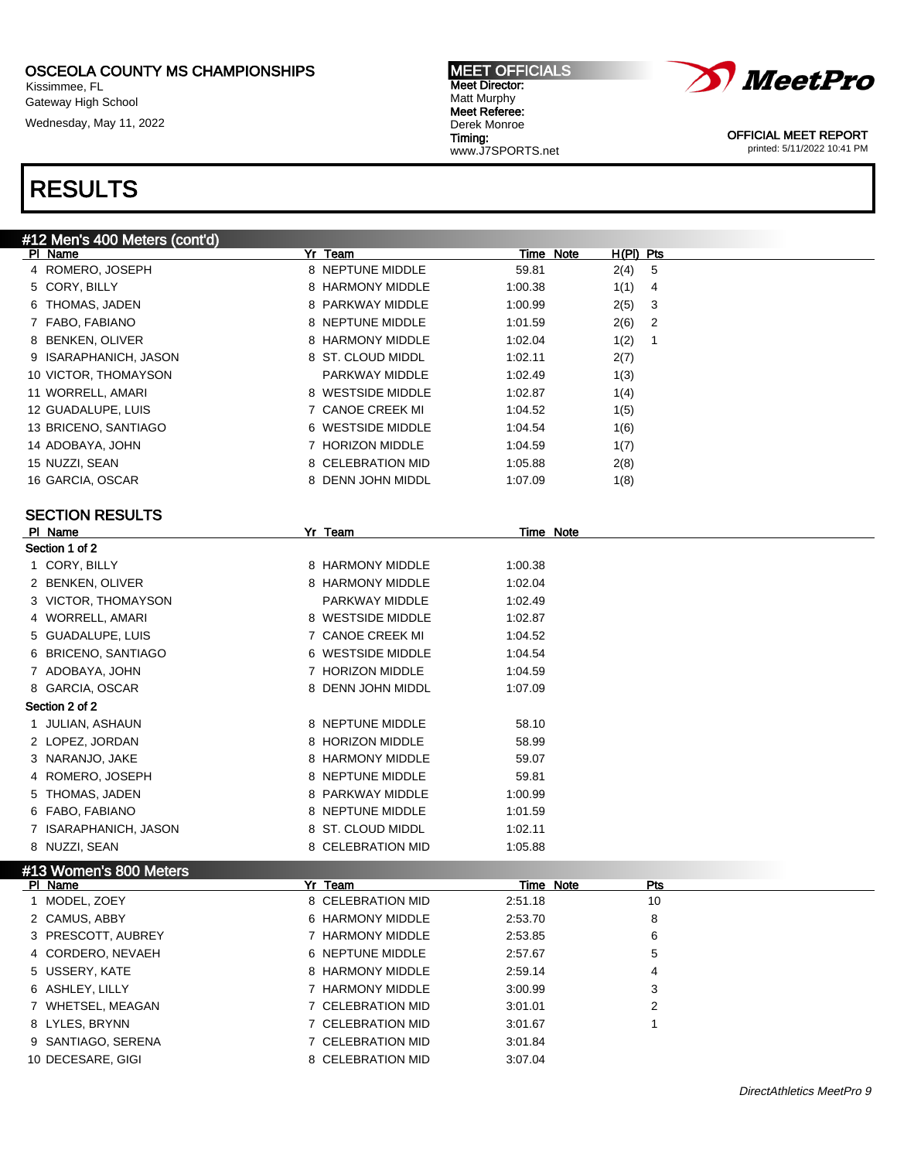Kissimmee, FL Gateway High School

Wednesday, May 11, 2022

#### MEET OFFICIALS Meet Director: Matt Murphy Meet Referee: Derek Monroe Timing: www.J7SPORTS.net



OFFICIAL MEET REPORT printed: 5/11/2022 10:41 PM

| #12 Men's 400 Meters (cont'd) |                   |         |                          |                         |
|-------------------------------|-------------------|---------|--------------------------|-------------------------|
| PI Name                       | Yr Team           |         | Time Note<br>$H(PI)$ Pts |                         |
| 4 ROMERO, JOSEPH              | 8 NEPTUNE MIDDLE  | 59.81   | 2(4)                     | 5                       |
| 5 CORY, BILLY                 | 8 HARMONY MIDDLE  | 1:00.38 | 1(1)                     | 4                       |
| 6 THOMAS, JADEN               | 8 PARKWAY MIDDLE  | 1:00.99 | 2(5)                     | 3                       |
| 7 FABO, FABIANO               | 8 NEPTUNE MIDDLE  | 1:01.59 | 2(6)                     | 2                       |
| 8 BENKEN, OLIVER              | 8 HARMONY MIDDLE  | 1:02.04 | 1(2)                     | 1                       |
| 9 ISARAPHANICH, JASON         | 8 ST. CLOUD MIDDL | 1:02.11 | 2(7)                     |                         |
| 10 VICTOR, THOMAYSON          | PARKWAY MIDDLE    | 1:02.49 | 1(3)                     |                         |
| 11 WORRELL, AMARI             | 8 WESTSIDE MIDDLE | 1:02.87 | 1(4)                     |                         |
| 12 GUADALUPE, LUIS            | 7 CANOE CREEK MI  | 1:04.52 | 1(5)                     |                         |
| 13 BRICENO, SANTIAGO          | 6 WESTSIDE MIDDLE | 1:04.54 | 1(6)                     |                         |
| 14 ADOBAYA, JOHN              | 7 HORIZON MIDDLE  | 1:04.59 | 1(7)                     |                         |
| 15 NUZZI, SEAN                | 8 CELEBRATION MID | 1:05.88 | 2(8)                     |                         |
| 16 GARCIA, OSCAR              | 8 DENN JOHN MIDDL | 1:07.09 | 1(8)                     |                         |
|                               |                   |         |                          |                         |
| <b>SECTION RESULTS</b>        |                   |         |                          |                         |
| PI Name                       | Yr Team           |         | <b>Time Note</b>         |                         |
| Section 1 of 2                |                   |         |                          |                         |
| 1 CORY, BILLY                 | 8 HARMONY MIDDLE  | 1:00.38 |                          |                         |
| 2 BENKEN, OLIVER              | 8 HARMONY MIDDLE  | 1:02.04 |                          |                         |
| 3 VICTOR, THOMAYSON           | PARKWAY MIDDLE    | 1:02.49 |                          |                         |
| 4 WORRELL, AMARI              | 8 WESTSIDE MIDDLE | 1:02.87 |                          |                         |
| 5 GUADALUPE, LUIS             | 7 CANOE CREEK MI  | 1:04.52 |                          |                         |
| 6 BRICENO, SANTIAGO           | 6 WESTSIDE MIDDLE | 1:04.54 |                          |                         |
| 7 ADOBAYA, JOHN               | 7 HORIZON MIDDLE  | 1:04.59 |                          |                         |
| 8 GARCIA, OSCAR               | 8 DENN JOHN MIDDL | 1:07.09 |                          |                         |
| Section 2 of 2                |                   |         |                          |                         |
| 1 JULIAN, ASHAUN              | 8 NEPTUNE MIDDLE  | 58.10   |                          |                         |
| 2 LOPEZ, JORDAN               | 8 HORIZON MIDDLE  | 58.99   |                          |                         |
| 3 NARANJO, JAKE               | 8 HARMONY MIDDLE  | 59.07   |                          |                         |
| 4 ROMERO, JOSEPH              | 8 NEPTUNE MIDDLE  | 59.81   |                          |                         |
| 5 THOMAS, JADEN               | 8 PARKWAY MIDDLE  | 1:00.99 |                          |                         |
| 6 FABO, FABIANO               | 8 NEPTUNE MIDDLE  | 1:01.59 |                          |                         |
| 7 ISARAPHANICH, JASON         | 8 ST. CLOUD MIDDL | 1:02.11 |                          |                         |
| 8 NUZZI, SEAN                 | 8 CELEBRATION MID | 1:05.88 |                          |                         |
| #13 Women's 800 Meters        |                   |         |                          |                         |
| PI Name                       | Yr Team           |         | Time Note                | Pts                     |
| 1 MODEL, ZOEY                 | 8 CELEBRATION MID | 2:51.18 |                          | 10                      |
| 2 CAMUS, ABBY                 | 6 HARMONY MIDDLE  | 2:53.70 |                          | 8                       |
| 3 PRESCOTT, AUBREY            | 7 HARMONY MIDDLE  | 2:53.85 |                          | 6                       |
| 4 CORDERO, NEVAEH             | 6 NEPTUNE MIDDLE  | 2:57.67 |                          | 5                       |
| 5 USSERY, KATE                | 8 HARMONY MIDDLE  | 2:59.14 |                          | 4                       |
| 6 ASHLEY, LILLY               | 7 HARMONY MIDDLE  | 3:00.99 |                          | 3                       |
| 7 WHETSEL, MEAGAN             | 7 CELEBRATION MID | 3:01.01 |                          | $\overline{\mathbf{c}}$ |
| 8 LYLES, BRYNN                | 7 CELEBRATION MID | 3:01.67 |                          | 1                       |
| 9 SANTIAGO, SERENA            | 7 CELEBRATION MID | 3:01.84 |                          |                         |
| 10 DECESARE, GIGI             | 8 CELEBRATION MID | 3:07.04 |                          |                         |
|                               |                   |         |                          |                         |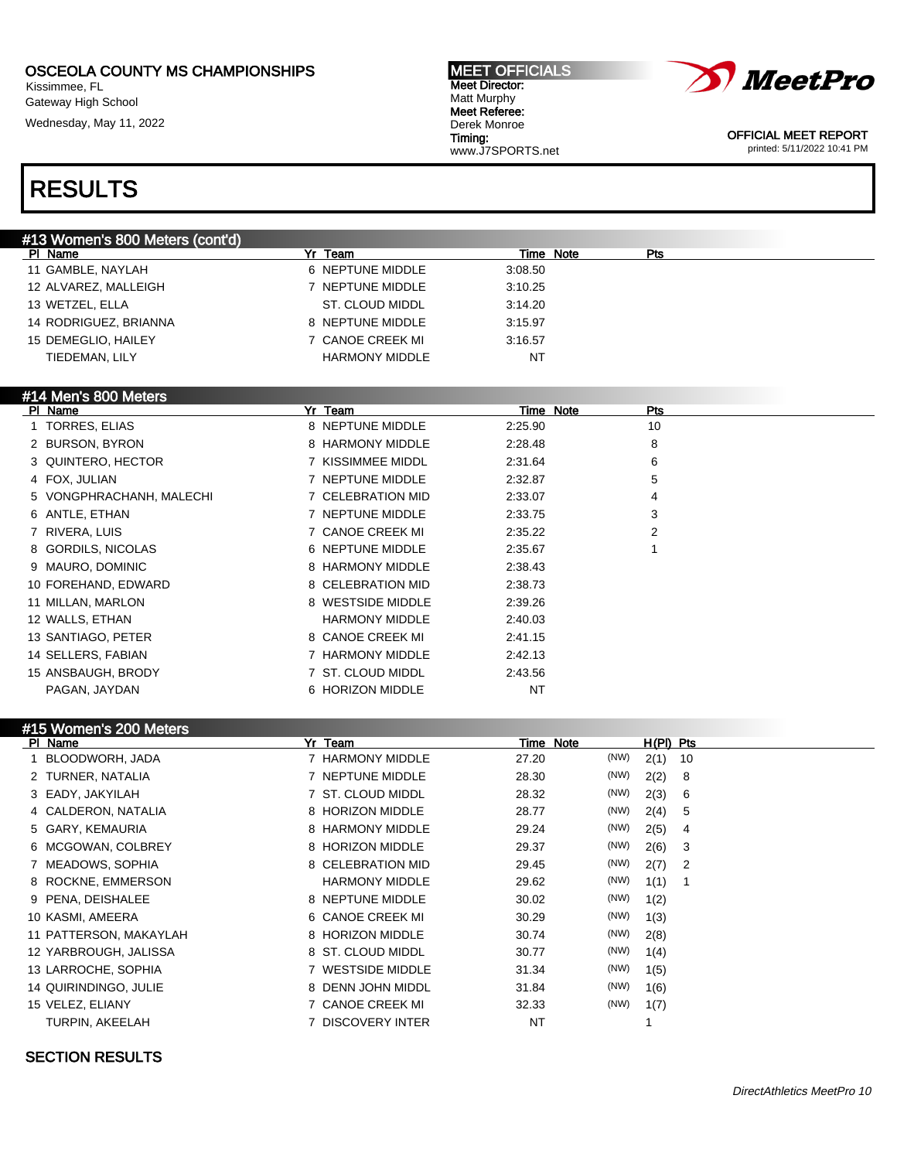Kissimmee, FL Gateway High School

Wednesday, May 11, 2022

#### MEET OFFICIALS Meet Director: Matt Murphy Meet Referee: Derek Monroe Timing: www.J7SPORTS.net



OFFICIAL MEET REPORT printed: 5/11/2022 10:41 PM

# RESULTS

| #13 Women's 800 Meters (cont'd) |                       |                  |  |
|---------------------------------|-----------------------|------------------|--|
| PI Name                         | Yr Team               | Time Note<br>Pts |  |
| 11 GAMBLE, NAYLAH               | 6 NEPTUNE MIDDLE      | 3:08.50          |  |
| 12 ALVAREZ, MALLEIGH            | 7 NEPTUNE MIDDLE      | 3:10.25          |  |
| 13 WETZEL, ELLA                 | ST. CLOUD MIDDL       | 3:14.20          |  |
| 14 RODRIGUEZ, BRIANNA           | 8 NEPTUNE MIDDLE      | 3:15.97          |  |
| 15 DEMEGLIO, HAILEY             | 7 CANOE CREEK MI      | 3:16.57          |  |
| TIEDEMAN, LILY                  | <b>HARMONY MIDDLE</b> | NT               |  |
|                                 |                       |                  |  |

### #14 Men's 800 Meters

| Name<br><b>PI</b>        | Yr Team               | Time Note | Pts |  |
|--------------------------|-----------------------|-----------|-----|--|
| 1 TORRES, ELIAS          | 8 NEPTUNE MIDDLE      | 2:25.90   | 10  |  |
| 2 BURSON, BYRON          | 8 HARMONY MIDDLE      | 2:28.48   | 8   |  |
| 3 QUINTERO, HECTOR       | 7 KISSIMMEE MIDDL     | 2:31.64   | 6   |  |
| 4 FOX, JULIAN            | 7 NEPTUNE MIDDLE      | 2:32.87   | 5   |  |
| 5 VONGPHRACHANH, MALECHI | 7 CELEBRATION MID     | 2:33.07   | 4   |  |
| 6 ANTLE, ETHAN           | 7 NEPTUNE MIDDLE      | 2:33.75   | 3   |  |
| 7 RIVERA, LUIS           | 7 CANOE CREEK MI      | 2:35.22   | 2   |  |
| 8 GORDILS, NICOLAS       | 6 NEPTUNE MIDDLE      | 2:35.67   |     |  |
| 9 MAURO, DOMINIC         | 8 HARMONY MIDDLE      | 2:38.43   |     |  |
| 10 FOREHAND, EDWARD      | 8 CELEBRATION MID     | 2:38.73   |     |  |
| 11 MILLAN, MARLON        | 8 WESTSIDE MIDDLE     | 2:39.26   |     |  |
| 12 WALLS, ETHAN          | <b>HARMONY MIDDLE</b> | 2:40.03   |     |  |
| 13 SANTIAGO, PETER       | 8 CANOE CREEK MI      | 2:41.15   |     |  |
| 14 SELLERS, FABIAN       | 7 HARMONY MIDDLE      | 2:42.13   |     |  |
| 15 ANSBAUGH, BRODY       | 7 ST. CLOUD MIDDL     | 2:43.56   |     |  |
| PAGAN, JAYDAN            | 6 HORIZON MIDDLE      | NT        |     |  |

| #15 Women's 200 Meters |                        |           |                    |
|------------------------|------------------------|-----------|--------------------|
| PI Name                | Yr Team                | Time Note | $H(PI)$ Pts        |
| BLOODWORH, JADA        | 7 HARMONY MIDDLE       | 27.20     | (NW)<br>2(1)<br>10 |
| 2 TURNER, NATALIA      | 7 NEPTUNE MIDDLE       | 28.30     | (NW)<br>2(2)<br>8  |
| 3 EADY, JAKYILAH       | 7 ST. CLOUD MIDDL      | 28.32     | (NW)<br>2(3)<br>6  |
| 4 CALDERON, NATALIA    | 8 HORIZON MIDDLE       | 28.77     | (NW)<br>2(4)<br>5  |
| 5 GARY, KEMAURIA       | 8 HARMONY MIDDLE       | 29.24     | (NW)<br>2(5)<br>4  |
| 6 MCGOWAN, COLBREY     | 8 HORIZON MIDDLE       | 29.37     | (NW)<br>2(6)<br>3  |
| 7 MEADOWS, SOPHIA      | 8 CELEBRATION MID      | 29.45     | (NW)<br>2(7)<br>2  |
| 8 ROCKNE, EMMERSON     | <b>HARMONY MIDDLE</b>  | 29.62     | (NW)<br>1(1)       |
| 9 PENA, DEISHALEE      | 8 NEPTUNE MIDDLE       | 30.02     | (NW)<br>1(2)       |
| 10 KASMI, AMEERA       | 6 CANOE CREEK MI       | 30.29     | (NW)<br>1(3)       |
| 11 PATTERSON, MAKAYLAH | 8 HORIZON MIDDLE       | 30.74     | (NW)<br>2(8)       |
| 12 YARBROUGH, JALISSA  | 8 ST. CLOUD MIDDL      | 30.77     | (NW)<br>1(4)       |
| 13 LARROCHE, SOPHIA    | <b>WESTSIDE MIDDLE</b> | 31.34     | (NW)<br>1(5)       |
| 14 QUIRINDINGO, JULIE  | 8 DENN JOHN MIDDL      | 31.84     | (NW)<br>1(6)       |
| 15 VELEZ, ELIANY       | <b>CANOE CREEK MI</b>  | 32.33     | (NW)<br>1(7)       |
| TURPIN, AKEELAH        | DISCOVERY INTER        | <b>NT</b> |                    |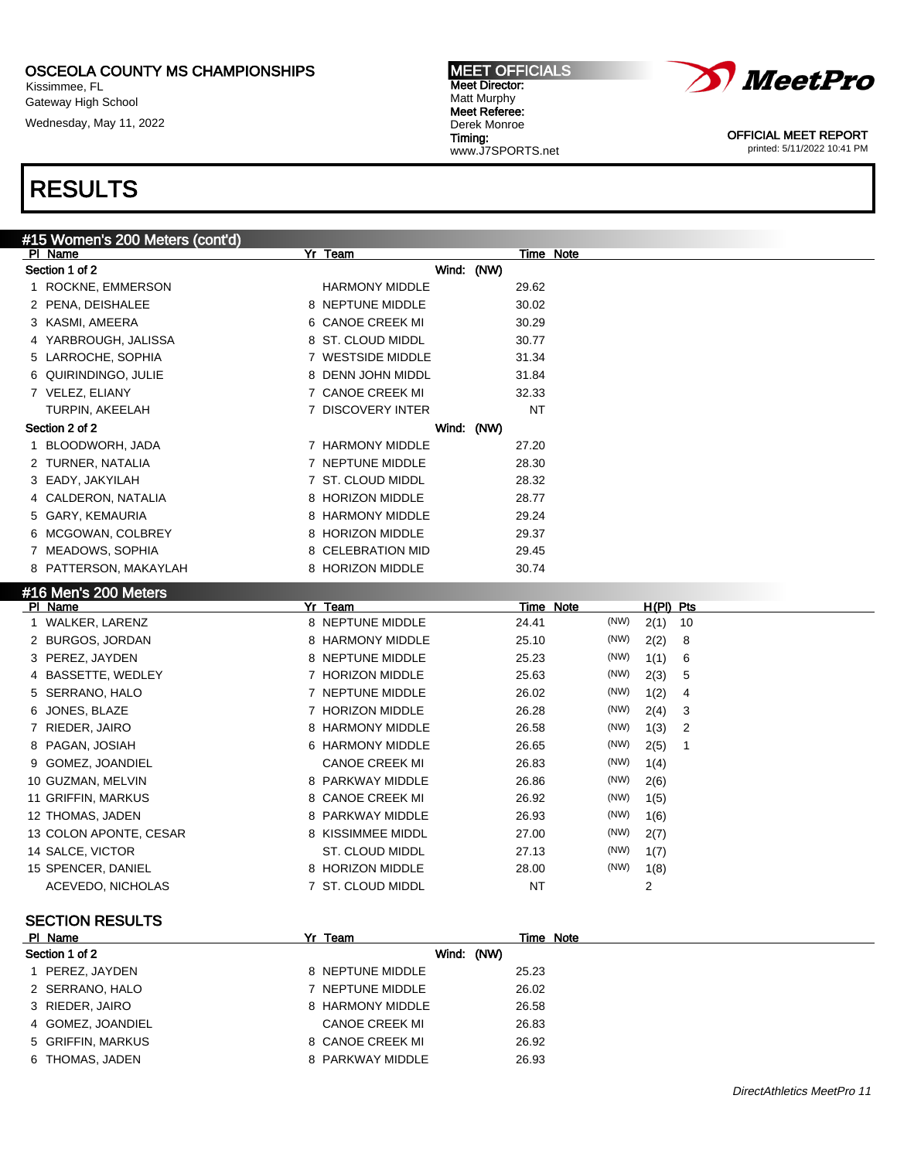Kissimmee, FL Gateway High School

Wednesday, May 11, 2022

#### MEET OFFICIALS Meet Director: Matt Murphy Meet Referee: Derek Monroe Timing:

www.J7SPORTS.net



OFFICIAL MEET REPORT printed: 5/11/2022 10:41 PM

| #15 Women's 200 Meters (cont'd) |                        |                             |
|---------------------------------|------------------------|-----------------------------|
| PI Name                         | Yr Team                | Time Note                   |
| Section 1 of 2                  | Wind: (NW)             |                             |
| 1 ROCKNE, EMMERSON              | <b>HARMONY MIDDLE</b>  | 29.62                       |
| 2 PENA, DEISHALEE               | 8 NEPTUNE MIDDLE       | 30.02                       |
| 3 KASMI, AMEERA                 | 6 CANOE CREEK MI       | 30.29                       |
| 4 YARBROUGH, JALISSA            | 8 ST. CLOUD MIDDL      | 30.77                       |
| 5 LARROCHE, SOPHIA              | 7 WESTSIDE MIDDLE      | 31.34                       |
| 6 QUIRINDINGO, JULIE            | 8 DENN JOHN MIDDL      | 31.84                       |
| 7 VELEZ, ELIANY                 | 7 CANOE CREEK MI       | 32.33                       |
| TURPIN, AKEELAH                 | 7 DISCOVERY INTER      | <b>NT</b>                   |
| Section 2 of 2                  | Wind: (NW)             |                             |
| 1 BLOODWORH, JADA               | 7 HARMONY MIDDLE       | 27.20                       |
| 2 TURNER, NATALIA               | 7 NEPTUNE MIDDLE       | 28.30                       |
| 3 EADY, JAKYILAH                | 7 ST. CLOUD MIDDL      | 28.32                       |
| 4 CALDERON, NATALIA             | 8 HORIZON MIDDLE       | 28.77                       |
| 5 GARY, KEMAURIA                | 8 HARMONY MIDDLE       | 29.24                       |
| MCGOWAN, COLBREY<br>6           | 8 HORIZON MIDDLE       | 29.37                       |
| 7 MEADOWS, SOPHIA               | 8 CELEBRATION MID      | 29.45                       |
| 8 PATTERSON, MAKAYLAH           | 8 HORIZON MIDDLE       | 30.74                       |
| #16 Men's 200 Meters            |                        |                             |
| PI Name                         | Yr Team                | Time Note<br>$H(PI)$ Pts    |
| 1 WALKER, LARENZ                | 8 NEPTUNE MIDDLE       | (NW)<br>24.41<br>2(1)<br>10 |
| 2 BURGOS, JORDAN                | 8 HARMONY MIDDLE       | (NW)<br>25.10<br>2(2)<br>8  |
| 3 PEREZ, JAYDEN                 | 8 NEPTUNE MIDDLE       | (NW)<br>25.23<br>1(1)<br>6  |
| 4 BASSETTE, WEDLEY              | 7 HORIZON MIDDLE       | (NW)<br>25.63<br>2(3)<br>5  |
| 5 SERRANO, HALO                 | 7 NEPTUNE MIDDLE       | (NW)<br>26.02<br>1(2)<br>4  |
| 6 JONES, BLAZE                  | 7 HORIZON MIDDLE       | (NW)<br>26.28<br>2(4)<br>3  |
| 7 RIEDER, JAIRO                 | 8 HARMONY MIDDLE       | (NW)<br>26.58<br>1(3)<br>2  |
| 8 PAGAN, JOSIAH                 | 6 HARMONY MIDDLE       | (NW)<br>26.65<br>2(5)<br>1  |
| 9 GOMEZ, JOANDIEL               | <b>CANOE CREEK MI</b>  | (NW)<br>26.83<br>1(4)       |
| 10 GUZMAN, MELVIN               | 8 PARKWAY MIDDLE       | (NW)<br>26.86<br>2(6)       |
| 11 GRIFFIN, MARKUS              | 8 CANOE CREEK MI       | (NW)<br>26.92<br>1(5)       |
| 12 THOMAS, JADEN                | 8 PARKWAY MIDDLE       | (NW)<br>26.93<br>1(6)       |
| 13 COLON APONTE, CESAR          | 8 KISSIMMEE MIDDL      | (NW)<br>27.00<br>2(7)       |
| 14 SALCE, VICTOR                | <b>ST. CLOUD MIDDL</b> | (NW)<br>27.13<br>1(7)       |
| 15 SPENCER, DANIEL              | 8 HORIZON MIDDLE       | (NW)<br>28.00<br>1(8)       |
| ACEVEDO, NICHOLAS               | 7 ST. CLOUD MIDDL      | NT<br>2                     |
|                                 |                        |                             |
| <b>SECTION RESULTS</b>          |                        |                             |

| PI Name           | Yr Team          | Time Note  |  |
|-------------------|------------------|------------|--|
| Section 1 of 2    |                  | Wind: (NW) |  |
| PEREZ, JAYDEN     | 8 NEPTUNE MIDDLE | 25.23      |  |
| 2 SERRANO, HALO   | 7 NEPTUNE MIDDLE | 26.02      |  |
| 3 RIEDER, JAIRO   | 8 HARMONY MIDDLE | 26.58      |  |
| 4 GOMEZ, JOANDIEL | CANOE CREEK MI   | 26.83      |  |
| 5 GRIFFIN, MARKUS | 8 CANOE CREEK MI | 26.92      |  |
| 6 THOMAS, JADEN   | 8 PARKWAY MIDDLE | 26.93      |  |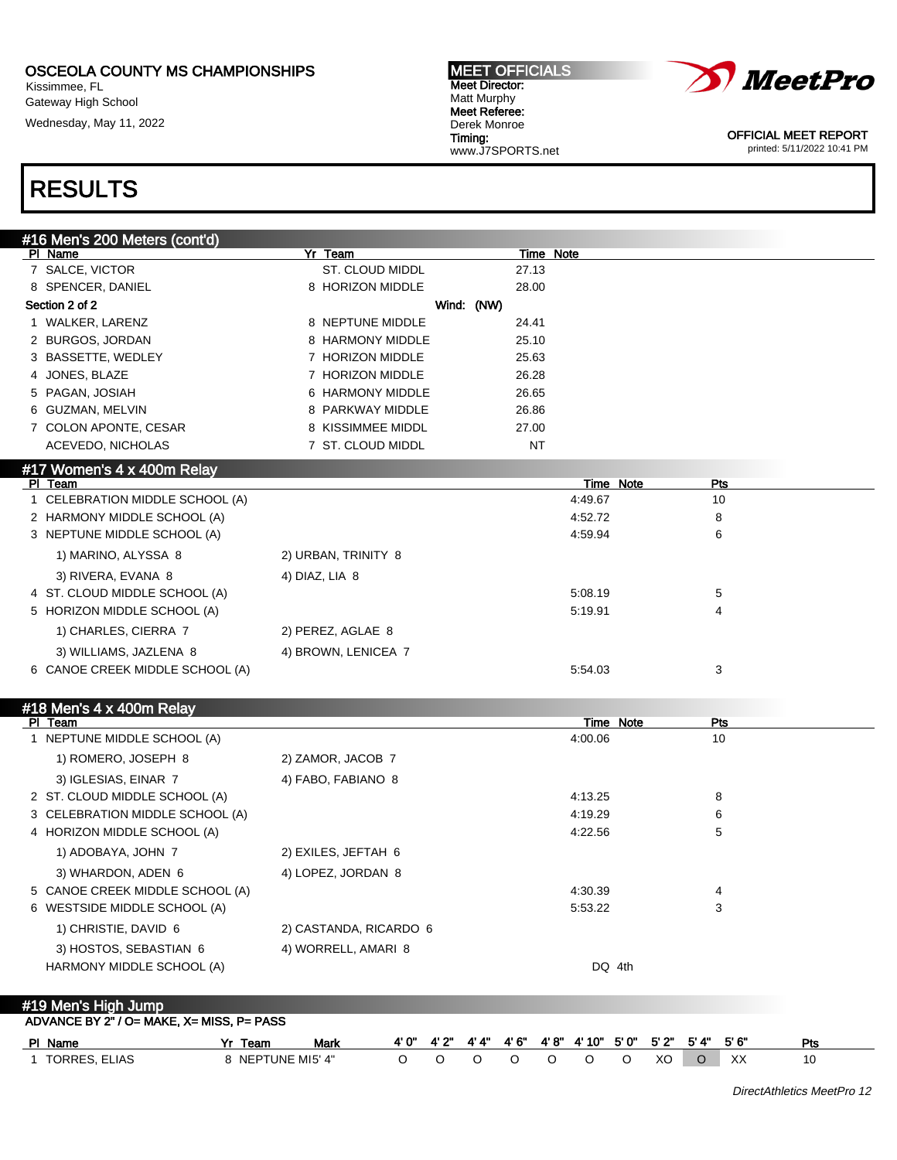Kissimmee, FL Gateway High School

Wednesday, May 11, 2022

#### MEET OFFICIALS Meet Director: Matt Murphy Meet Referee: Derek Monroe Timing: www.J7SPORTS.net



OFFICIAL MEET REPORT printed: 5/11/2022 10:41 PM

# RESULTS

| #16 Men's 200 Meters (cont'd)              |                                 |            |       |           |                             |       |                         |            |
|--------------------------------------------|---------------------------------|------------|-------|-----------|-----------------------------|-------|-------------------------|------------|
| PI Name                                    | Yr Team                         |            |       | Time Note |                             |       |                         |            |
| 7 SALCE, VICTOR                            | ST. CLOUD MIDDL                 |            |       | 27.13     |                             |       |                         |            |
| 8 SPENCER, DANIEL                          | 8 HORIZON MIDDLE                |            |       | 28.00     |                             |       |                         |            |
| Section 2 of 2                             |                                 | Wind: (NW) |       |           |                             |       |                         |            |
| 1 WALKER, LARENZ                           | 8 NEPTUNE MIDDLE                |            |       | 24.41     |                             |       |                         |            |
| 2 BURGOS, JORDAN                           | 8 HARMONY MIDDLE                |            |       | 25.10     |                             |       |                         |            |
| 3 BASSETTE, WEDLEY                         | 7 HORIZON MIDDLE                |            |       | 25.63     |                             |       |                         |            |
| 4 JONES, BLAZE                             | 7 HORIZON MIDDLE                |            |       | 26.28     |                             |       |                         |            |
| 5 PAGAN, JOSIAH                            | 6 HARMONY MIDDLE                |            |       | 26.65     |                             |       |                         |            |
| 6 GUZMAN, MELVIN                           | 8 PARKWAY MIDDLE                |            |       | 26.86     |                             |       |                         |            |
| 7 COLON APONTE, CESAR                      | 8 KISSIMMEE MIDDL               |            |       | 27.00     |                             |       |                         |            |
| ACEVEDO, NICHOLAS                          | 7 ST. CLOUD MIDDL               |            |       | <b>NT</b> |                             |       |                         |            |
| #17 Women's 4 x 400m Relay                 |                                 |            |       |           |                             |       |                         |            |
| PI Team<br>1 CELEBRATION MIDDLE SCHOOL (A) |                                 |            |       |           | <b>Time Note</b><br>4:49.67 |       | Pts<br>10               |            |
| 2 HARMONY MIDDLE SCHOOL (A)                |                                 |            |       |           | 4:52.72                     |       | 8                       |            |
| 3 NEPTUNE MIDDLE SCHOOL (A)                |                                 |            |       |           | 4:59.94                     |       | 6                       |            |
|                                            |                                 |            |       |           |                             |       |                         |            |
| 1) MARINO, ALYSSA 8                        | 2) URBAN, TRINITY 8             |            |       |           |                             |       |                         |            |
| 3) RIVERA, EVANA 8                         | 4) DIAZ, LIA 8                  |            |       |           |                             |       |                         |            |
| 4 ST. CLOUD MIDDLE SCHOOL (A)              |                                 |            |       |           | 5:08.19                     |       | 5                       |            |
| 5 HORIZON MIDDLE SCHOOL (A)                |                                 |            |       |           | 5:19.91                     |       | 4                       |            |
| 1) CHARLES, CIERRA 7                       | 2) PEREZ, AGLAE 8               |            |       |           |                             |       |                         |            |
| 3) WILLIAMS, JAZLENA 8                     | 4) BROWN, LENICEA 7             |            |       |           |                             |       |                         |            |
| 6 CANOE CREEK MIDDLE SCHOOL (A)            |                                 |            |       |           | 5:54.03                     |       | 3                       |            |
|                                            |                                 |            |       |           |                             |       |                         |            |
| #18 Men's 4 x 400m Relay                   |                                 |            |       |           | <b>Time Note</b>            |       | <b>Pts</b>              |            |
| PI Team<br>1 NEPTUNE MIDDLE SCHOOL (A)     |                                 |            |       |           | 4:00.06                     |       | 10                      |            |
| 1) ROMERO, JOSEPH 8                        | 2) ZAMOR, JACOB 7               |            |       |           |                             |       |                         |            |
|                                            |                                 |            |       |           |                             |       |                         |            |
| 3) IGLESIAS, EINAR 7                       | 4) FABO, FABIANO 8              |            |       |           |                             |       |                         |            |
| 2 ST. CLOUD MIDDLE SCHOOL (A)              |                                 |            |       |           | 4:13.25                     |       | 8                       |            |
| 3 CELEBRATION MIDDLE SCHOOL (A)            |                                 |            |       |           | 4:19.29                     |       | 6                       |            |
| 4 HORIZON MIDDLE SCHOOL (A)                |                                 |            |       |           | 4:22.56                     |       | 5                       |            |
| 1) ADOBAYA, JOHN 7                         | 2) EXILES, JEFTAH 6             |            |       |           |                             |       |                         |            |
| 3) WHARDON, ADEN 6                         | 4) LOPEZ, JORDAN 8              |            |       |           |                             |       |                         |            |
| 5 CANOE CREEK MIDDLE SCHOOL (A)            |                                 |            |       |           | 4:30.39                     |       |                         |            |
| 6 WESTSIDE MIDDLE SCHOOL (A)               |                                 |            |       |           | 5:53.22                     |       | 3                       |            |
| 1) CHRISTIE, DAVID 6                       | 2) CASTANDA, RICARDO 6          |            |       |           |                             |       |                         |            |
| 3) HOSTOS, SEBASTIAN 6                     | 4) WORRELL, AMARI 8             |            |       |           |                             |       |                         |            |
| HARMONY MIDDLE SCHOOL (A)                  |                                 |            |       |           | DQ 4th                      |       |                         |            |
|                                            |                                 |            |       |           |                             |       |                         |            |
| #19 Men's High Jump                        |                                 |            |       |           |                             |       |                         |            |
| ADVANCE BY 2" / O= MAKE, X= MISS, P= PASS  |                                 |            |       |           |                             |       |                         |            |
| PI Name                                    | 4' 0"<br>Yr Team<br><u>Mark</u> | 4' 2"      | 4' 4" | 4' 6"     | $4'8''$ $4'10''$            | 5' 0" | 5'6''<br>5' 2"<br>5' 4" | <b>Pts</b> |
| 1 TORRES, ELIAS                            | 8 NEPTUNE MI5' 4"<br>O          | O          | O     | O         | O<br>O                      | O     | XO<br>XX<br>$\circ$     | 10         |

DirectAthletics MeetPro 12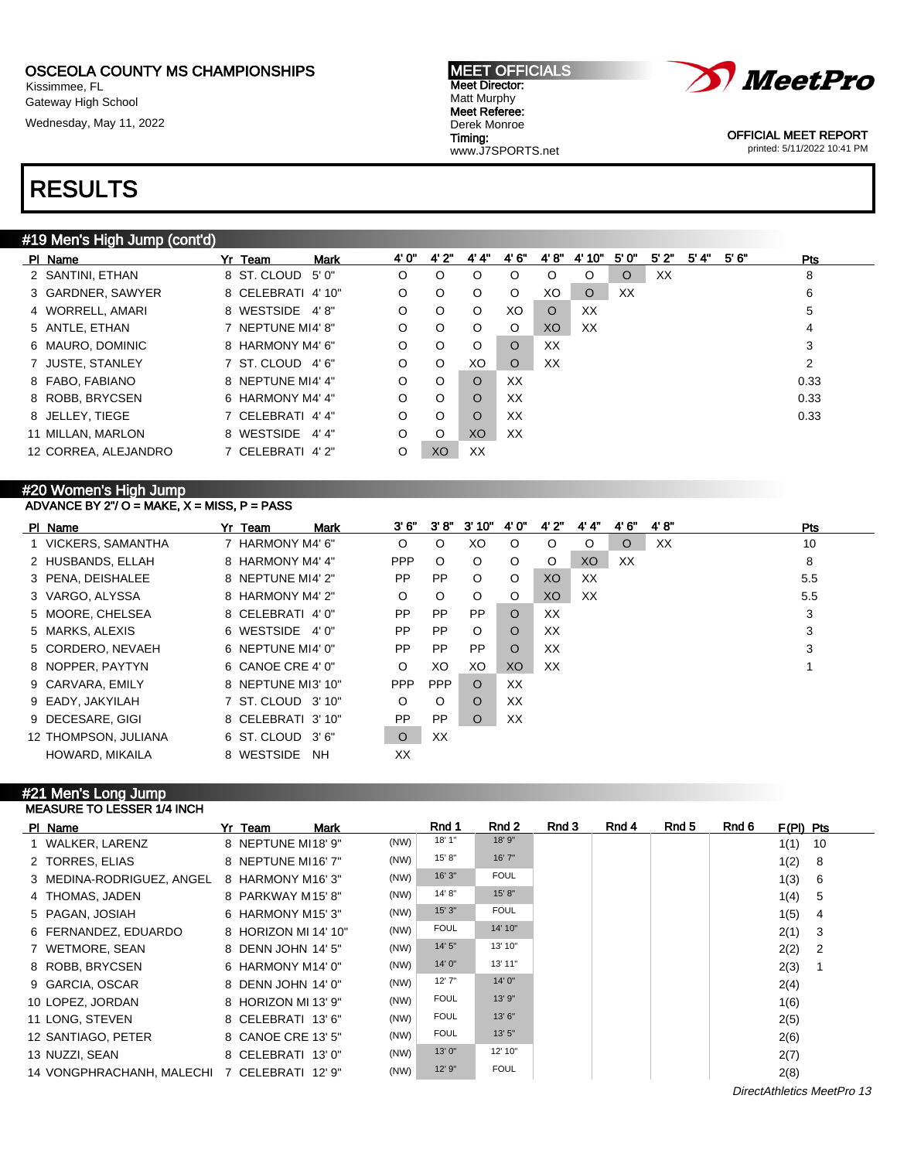Kissimmee, FL Gateway High School

Wednesday, May 11, 2022





OFFICIAL MEET REPORT printed: 5/11/2022 10:41 PM

## RESULTS

## #19 Men's High Jump (cont'd)

| PI Name              | Yr Team            | <b>Mark</b> | 4' 0"   | 4'2"    | 4' 4"    | 4' 6"    | 4'8"    | 4' 10"  | 5'0"    | 5'2" | 5' 4" | 5'6'' | <b>Pts</b> |
|----------------------|--------------------|-------------|---------|---------|----------|----------|---------|---------|---------|------|-------|-------|------------|
| 2 SANTINI, ETHAN     | 8 ST. CLOUD 5'0"   |             | O       | O       | $\circ$  | $\circ$  | $\circ$ | O       | $\circ$ | XX   |       |       | 8          |
| 3 GARDNER, SAWYER    | 8 CELEBRATI 4' 10" |             | O       | O       | $\circ$  | $\circ$  | XO      | $\circ$ | XX      |      |       |       | 6          |
| 4 WORRELL, AMARI     | 8 WESTSIDE 4'8"    |             | O       | $\circ$ | $\circ$  | XO.      | $\circ$ | XX      |         |      |       |       | 5          |
| 5 ANTLE, ETHAN       | 7 NEPTUNE MI4' 8"  |             | $\circ$ | O       | $\circ$  | O        | XO.     | XX      |         |      |       |       | 4          |
| 6 MAURO, DOMINIC     | 8 HARMONY M4' 6"   |             | O       | O       | O        | $\Omega$ | XX      |         |         |      |       |       | 3          |
| 7 JUSTE, STANLEY     | 7 ST. CLOUD 4'6"   |             | O       | O       | XO       | $\circ$  | XX      |         |         |      |       |       | 2          |
| 8 FABO, FABIANO      | 8 NEPTUNE MI4' 4"  |             | $\circ$ | O       | $\circ$  | XX       |         |         |         |      |       |       | 0.33       |
| 8 ROBB, BRYCSEN      | 6 HARMONY M4' 4"   |             | $\circ$ | $\circ$ | $\circ$  | XX       |         |         |         |      |       |       | 0.33       |
| 8 JELLEY, TIEGE      | 7 CELEBRATI 4' 4"  |             | $\circ$ | $\circ$ | $\Omega$ | XX       |         |         |         |      |       |       | 0.33       |
| 11 MILLAN, MARLON    | 8 WESTSIDE 4'4"    |             | O       | O       | XO       | XX       |         |         |         |      |       |       |            |
| 12 CORREA, ALEJANDRO | 7 CELEBRATI 4'2"   |             | O       | XO      | XX       |          |         |         |         |      |       |       |            |

#### #20 Women's High Jump ADVANCE BY 2"/ O = MAKE,  $X =$  MISS, P = PASS

| PI Name              | Yr Team            | <b>Mark</b> | 3' 6"      | 3'8"       | 3'10"     | 4' 0"          | 4' 2"   | 4' 4"   | 4' 6"   | 4'8'' | Pts |
|----------------------|--------------------|-------------|------------|------------|-----------|----------------|---------|---------|---------|-------|-----|
| 1 VICKERS, SAMANTHA  | 7 HARMONY M4' 6"   |             | O          | $\circ$    | XO        | $\circ$        | $\circ$ | $\circ$ | $\circ$ | XX    | 10  |
| 2 HUSBANDS, ELLAH    | 8 HARMONY M4' 4"   |             | <b>PPP</b> | $\circ$    | $\circ$   | O              | $\circ$ | XO      | XX      |       | 8   |
| 3 PENA, DEISHALEE    | 8 NEPTUNE MI4' 2"  |             | <b>PP</b>  | <b>PP</b>  | $\circ$   | O              | XO      | XX      |         |       | 5.5 |
| 3 VARGO, ALYSSA      | 8 HARMONY M4' 2"   |             | O          | $\circ$    | $\circ$   | O              | XO.     | XX      |         |       | 5.5 |
| 5 MOORE, CHELSEA     | 8 CELEBRATI 4'0"   |             | <b>PP</b>  | <b>PP</b>  | <b>PP</b> | $\circ$        | XX      |         |         |       | 3   |
| 5 MARKS, ALEXIS      | 6 WESTSIDE 4'0"    |             | <b>PP</b>  | <b>PP</b>  | $\circ$   | $\circ$        | XX      |         |         |       | 3   |
| 5 CORDERO, NEVAEH    | 6 NEPTUNE MI4' 0"  |             | PP.        | <b>PP</b>  | <b>PP</b> | $\circ$        | XX      |         |         |       | 3   |
| 8 NOPPER, PAYTYN     | 6 CANOE CRE 4' 0"  |             | $\circ$    | XO         | XO        | X <sub>O</sub> | XX      |         |         |       |     |
| 9 CARVARA, EMILY     | 8 NEPTUNE MI3' 10" |             | <b>PPP</b> | <b>PPP</b> | $\circ$   | XX             |         |         |         |       |     |
| 9 EADY, JAKYILAH     | 7 ST. CLOUD 3' 10" |             | O          | $\circ$    | $\Omega$  | XX             |         |         |         |       |     |
| 9 DECESARE, GIGI     | 8 CELEBRATI 3' 10" |             | <b>PP</b>  | <b>PP</b>  | $\Omega$  | XX             |         |         |         |       |     |
| 12 THOMPSON, JULIANA | 6 ST. CLOUD 3'6"   |             | $\circ$    | XX         |           |                |         |         |         |       |     |
| HOWARD, MIKAILA      | 8 WESTSIDE         | <b>NH</b>   | XX         |            |           |                |         |         |         |       |     |

#### #21 Men's Long Jump MEASURE TO LESSER 1/4 INCH

| PI Name                                      | Yr Team              | <b>Mark</b> |      | Rnd 1       | Rnd 2       | Rnd 3 | Rnd 4 | Rnd 5 | Rnd 6 | $F(PI)$ Pts |                            |
|----------------------------------------------|----------------------|-------------|------|-------------|-------------|-------|-------|-------|-------|-------------|----------------------------|
| 1 WALKER, LARENZ                             | 8 NEPTUNE MI18' 9"   |             | (NW) | 18' 1"      | 18' 9"      |       |       |       |       | 1(1)        | - 10                       |
| 2 TORRES, ELIAS                              | 8 NEPTUNE MI16' 7"   |             | (NW) | 15' 8"      | 16'7''      |       |       |       |       | 1(2)        | - 8                        |
| 3 MEDINA-RODRIGUEZ, ANGEL                    | 8 HARMONY M16'3"     |             | (NW) | 16'3''      | <b>FOUL</b> |       |       |       |       | 1(3)        | - 6                        |
| 4 THOMAS, JADEN                              | 8 PARKWAY M15'8"     |             | (NW) | 14' 8"      | 15' 8''     |       |       |       |       | 1(4)        | - 5                        |
| 5 PAGAN, JOSIAH                              | 6 HARMONY M15'3"     |             | (NW) | 15'3''      | <b>FOUL</b> |       |       |       |       | 1(5)        | $\overline{4}$             |
| 6 FERNANDEZ, EDUARDO                         | 8 HORIZON MI 14' 10" |             | (NW) | <b>FOUL</b> | 14' 10"     |       |       |       |       | 2(1)        | - 3                        |
| 7 WETMORE, SEAN                              | 8 DENN JOHN 14' 5"   |             | (NW) | 14' 5"      | 13' 10"     |       |       |       |       | 2(2)        | $\overline{\phantom{0}}^2$ |
| 8 ROBB, BRYCSEN                              | 6 HARMONY M14' 0"    |             | (NW) | 14' 0"      | 13' 11"     |       |       |       |       | 2(3)        |                            |
| 9 GARCIA, OSCAR                              | 8 DENN JOHN 14' 0"   |             | (NW) | 12'7''      | 14'0''      |       |       |       |       | 2(4)        |                            |
| 10 LOPEZ, JORDAN                             | 8 HORIZON MI 13' 9"  |             | (NW) | <b>FOUL</b> | 13' 9"      |       |       |       |       | 1(6)        |                            |
| 11 LONG, STEVEN                              | 8 CELEBRATI 13'6"    |             | (NW) | <b>FOUL</b> | 13'6''      |       |       |       |       | 2(5)        |                            |
| 12 SANTIAGO, PETER                           | 8 CANOE CRE 13' 5"   |             | (NW) | <b>FOUL</b> | 13'5''      |       |       |       |       | 2(6)        |                            |
| 13 NUZZI, SEAN                               | 8 CELEBRATI 13' 0"   |             | (NW) | 13'0"       | 12' 10"     |       |       |       |       | 2(7)        |                            |
| 14 VONGPHRACHANH, MALECHI 7 CELEBRATI 12' 9" |                      |             | (NW) | 12' 9"      | <b>FOUL</b> |       |       |       |       | 2(8)        |                            |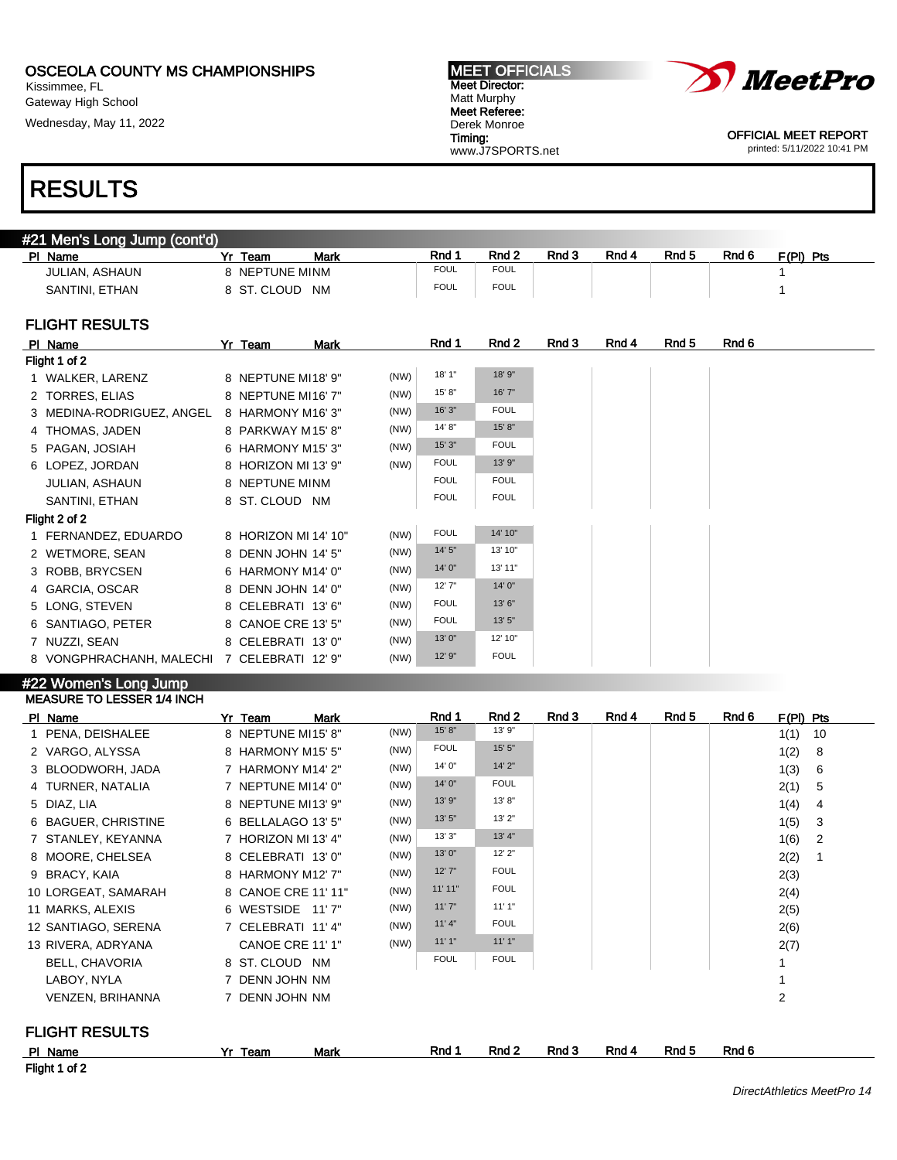Kissimmee, FL Gateway High School

Wednesday, May 11, 2022

#### MEET OFFICIALS Meet Director: Matt Murphy Meet Referee: Derek Monroe Timing: www.J7SPORTS.net



OFFICIAL MEET REPORT printed: 5/11/2022 10:41 PM

## RESULTS

| #21 Men's Long Jump (cont'd) |                    |             |                  |       |       |       |       |           |  |
|------------------------------|--------------------|-------------|------------------|-------|-------|-------|-------|-----------|--|
| Name<br>РI                   | Mark<br>Yr<br>Team | Rnd 1       | Rnd <sub>2</sub> | Rnd 3 | Rnd 4 | Rnd 5 | Rnd 6 | F(PI) Pts |  |
| JULIAN, ASHAUN               | 8 NEPTUNE MINM     | <b>FOUL</b> | <b>FOUL</b>      |       |       |       |       |           |  |
| SANTINI, ETHAN               | 8 ST. CLOUD<br>NM. | <b>FOUL</b> | <b>FOUL</b>      |       |       |       |       |           |  |
|                              |                    |             |                  |       |       |       |       |           |  |
| <b>FLIGHT RESULTS</b>        |                    |             |                  |       |       |       |       |           |  |

### FILIGHT RESULTS

| PI Name                   | Yr Team<br>Mark      |      | Rnd 1       | Rnd 2       |  | Rnd 3<br>Rnd 4<br>Rnd 5 |
|---------------------------|----------------------|------|-------------|-------------|--|-------------------------|
| Flight 1 of 2             |                      |      |             |             |  |                         |
| 1 WALKER, LARENZ          | 8 NEPTUNE MI18' 9"   | (NW) | 18' 1"      | 18' 9"      |  |                         |
| 2 TORRES, ELIAS           | 8 NEPTUNE MI16'7"    | (NW) | 15'8"       | 16'7"       |  |                         |
| 3 MEDINA-RODRIGUEZ, ANGEL | 8 HARMONY M16'3"     | (NW) | 16'3''      | <b>FOUL</b> |  |                         |
| 4 THOMAS, JADEN           | 8 PARKWAY M15'8"     | (NW) | 14'8"       | 15' 8"      |  |                         |
| 5 PAGAN, JOSIAH           | 6 HARMONY M15' 3"    | (NW) | 15'3''      | <b>FOUL</b> |  |                         |
| 6 LOPEZ, JORDAN           | 8 HORIZON MI 13' 9"  | (NW) | <b>FOUL</b> | 13' 9"      |  |                         |
| <b>JULIAN, ASHAUN</b>     | 8 NEPTUNE MINM       |      | <b>FOUL</b> | <b>FOUL</b> |  |                         |
| SANTINI, ETHAN            | 8 ST. CLOUD NM       |      | <b>FOUL</b> | <b>FOUL</b> |  |                         |
| Flight 2 of 2             |                      |      |             |             |  |                         |
| 1 FERNANDEZ, EDUARDO      | 8 HORIZON MI 14' 10" | (NW) | <b>FOUL</b> | 14' 10"     |  |                         |
| 2 WETMORE, SEAN           | 8 DENN JOHN 14' 5"   | (NW) | 14'5''      | 13' 10"     |  |                         |
| 3 ROBB, BRYCSEN           | 6 HARMONY M14' 0"    | (NW) | 14' 0"      | 13' 11"     |  |                         |
| 4 GARCIA, OSCAR           | 8 DENN JOHN 14' 0"   | (NW) | 12'7''      | 14'0''      |  |                         |
| 5 LONG, STEVEN            | 8 CELEBRATI 13'6"    | (NW) | <b>FOUL</b> | 13' 6"      |  |                         |
| 6 SANTIAGO, PETER         | 8 CANOE CRE 13' 5"   | (NW) | <b>FOUL</b> | 13' 5"      |  |                         |
| 7 NUZZI, SEAN             | 8 CELEBRATI 13' 0"   | (NW) | 13' 0"      | 12' 10"     |  |                         |
| 8 VONGPHRACHANH, MALECHI  | 7 CELEBRATI 12' 9"   | (NW) | 12' 9"      | <b>FOUL</b> |  |                         |

#### #22 Women's Long Jump MEASURE TO LESSER 1/4 INCH

| PI Name               | Yr Team<br><b>Mark</b> |      | Rnd 1       | Rnd 2       | Rnd 3 | Rnd 4 | Rnd 5 | Rnd 6 | $F(PI)$ Pts    |
|-----------------------|------------------------|------|-------------|-------------|-------|-------|-------|-------|----------------|
| 1 PENA, DEISHALEE     | 8 NEPTUNE MI15' 8"     | (NW) | 15' 8"      | 13' 9"      |       |       |       |       | 1(1)<br>10     |
| 2 VARGO, ALYSSA       | 8 HARMONY M15' 5"      | (NW) | <b>FOUL</b> | 15' 5"      |       |       |       |       | 1(2)<br>8      |
| 3 BLOODWORH, JADA     | 7 HARMONY M14' 2"      | (NW) | 14' 0"      | 14' 2"      |       |       |       |       | 1(3)<br>6      |
| 4 TURNER, NATALIA     | 7 NEPTUNE MI14' 0"     | (NW) | 14' 0"      | <b>FOUL</b> |       |       |       |       | 2(1)<br>5      |
| 5 DIAZ, LIA           | 8 NEPTUNE MI13' 9"     | (NW) | 13' 9"      | 13'8"       |       |       |       |       | 1(4)<br>4      |
| 6 BAGUER, CHRISTINE   | 6 BELLALAGO 13' 5"     | (NW) | 13' 5"      | 13'2"       |       |       |       |       | 1(5)<br>3      |
| 7 STANLEY, KEYANNA    | 7 HORIZON MI 13' 4"    | (NW) | 13'3''      | 13' 4"      |       |       |       |       | 1(6)<br>2      |
| 8 MOORE, CHELSEA      | 8 CELEBRATI 13' 0"     | (NW) | 13' 0"      | 12' 2"      |       |       |       |       | 2(2)<br>-1     |
| 9 BRACY, KAIA         | 8 HARMONY M12' 7"      | (NW) | 12'7''      | <b>FOUL</b> |       |       |       |       | 2(3)           |
| 10 LORGEAT, SAMARAH   | 8 CANOE CRE 11' 11"    | (NW) | 11'11"      | <b>FOUL</b> |       |       |       |       | 2(4)           |
| 11 MARKS, ALEXIS      | 6 WESTSIDE<br>11'7"    | (NW) | 11'7''      | 11'1"       |       |       |       |       | 2(5)           |
| 12 SANTIAGO, SERENA   | 7 CELEBRATI 11' 4"     | (NW) | 11'4"       | <b>FOUL</b> |       |       |       |       | 2(6)           |
| 13 RIVERA, ADRYANA    | CANOE CRE 11' 1"       | (NW) | 11'1"       | 11'1"       |       |       |       |       | 2(7)           |
| BELL, CHAVORIA        | 8 ST. CLOUD NM         |      | <b>FOUL</b> | <b>FOUL</b> |       |       |       |       |                |
| LABOY, NYLA           | 7 DENN JOHN NM         |      |             |             |       |       |       |       |                |
| VENZEN, BRIHANNA      | 7 DENN JOHN NM         |      |             |             |       |       |       |       | $\overline{2}$ |
| <b>FLIGHT RESULTS</b> |                        |      |             |             |       |       |       |       |                |
| PI Name               | Mark<br>Yr Team        |      | Rnd 1       | Rnd 2       | Rnd 3 | Rnd 4 | Rnd 5 | Rnd 6 |                |

Flight 1 of 2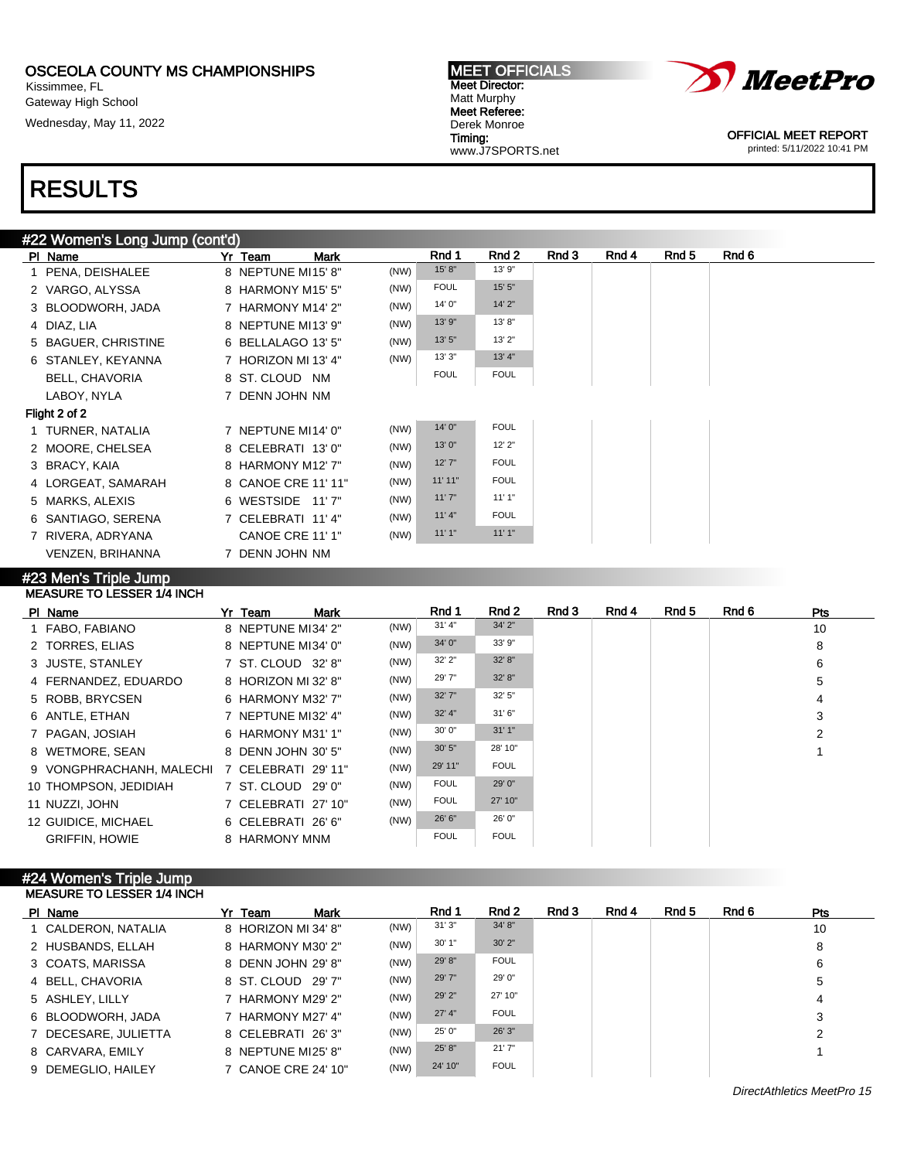Kissimmee, FL Gateway High School Wednesday, May 11, 2022



Meet Director: Matt Murphy Meet Referee: Derek Monroe Timing: www.J7SPORTS.net

MEET OFFICIALS

OFFICIAL MEET REPORT printed: 5/11/2022 10:41 PM

# RESULTS

## #22 Women's Long Jump (cont'd)

| PI Name                 | Yr Team<br><b>Mark</b> |      | Rnd 1       | Rnd 2       | Rnd 3 | Rnd 4 | Rnd 5 | Rnd 6 |
|-------------------------|------------------------|------|-------------|-------------|-------|-------|-------|-------|
| 1 PENA, DEISHALEE       | 8 NEPTUNE MI15'8"      | (NW) | 15' 8''     | 13' 9"      |       |       |       |       |
| 2 VARGO, ALYSSA         | 8 HARMONY M15' 5"      | (NW) | <b>FOUL</b> | 15' 5"      |       |       |       |       |
| 3 BLOODWORH, JADA       | 7 HARMONY M14' 2"      | (NW) | 14' 0"      | 14'2"       |       |       |       |       |
| 4 DIAZ, LIA             | 8 NEPTUNE MI13' 9"     | (NW) | 13' 9"      | 13' 8"      |       |       |       |       |
| 5 BAGUER, CHRISTINE     | 6 BELLALAGO 13' 5"     | (NW) | 13'5''      | 13'2"       |       |       |       |       |
| 6 STANLEY, KEYANNA      | 7 HORIZON MI 13' 4"    | (NW) | 13'3''      | 13' 4"      |       |       |       |       |
| <b>BELL, CHAVORIA</b>   | 8 ST. CLOUD NM         |      | <b>FOUL</b> | <b>FOUL</b> |       |       |       |       |
| LABOY, NYLA             | 7 DENN JOHN NM         |      |             |             |       |       |       |       |
| Flight 2 of 2           |                        |      |             |             |       |       |       |       |
| 1 TURNER, NATALIA       | 7 NEPTUNE MI14' 0"     | (NW) | 14' 0"      | <b>FOUL</b> |       |       |       |       |
| 2 MOORE, CHELSEA        | 8 CELEBRATI 13'0"      | (NW) | 13'0''      | 12'2''      |       |       |       |       |
| 3 BRACY, KAIA           | 8 HARMONY M12' 7"      | (NW) | 12'7''      | <b>FOUL</b> |       |       |       |       |
| 4 LORGEAT, SAMARAH      | 8 CANOE CRE 11' 11"    | (NW) | 11'11"      | <b>FOUL</b> |       |       |       |       |
| 5 MARKS, ALEXIS         | 6 WESTSIDE 11'7"       | (NW) | 11'7''      | 11'1"       |       |       |       |       |
| 6 SANTIAGO, SERENA      | 7 CELEBRATI 11'4"      | (NW) | 11' 4"      | <b>FOUL</b> |       |       |       |       |
| 7 RIVERA, ADRYANA       | CANOE CRE 11' 1"       | (NW) | 11'1"       | 11'1"       |       |       |       |       |
| <b>VENZEN, BRIHANNA</b> | 7 DENN JOHN NM         |      |             |             |       |       |       |       |
|                         |                        |      |             |             |       |       |       |       |

#### #23 Men's Triple Jump MEASURE TO LESSER 1/4 INCH

| PI Name                  | Yr Team             | <b>Mark</b> |      | Rnd 1       | Rnd 2       | Rnd 3 | Rnd 4 | Rnd 5 | Rnd 6 | <b>Pts</b> |
|--------------------------|---------------------|-------------|------|-------------|-------------|-------|-------|-------|-------|------------|
| 1 FABO, FABIANO          | 8 NEPTUNE MI34' 2"  |             | (NW) | 31' 4''     | 34' 2"      |       |       |       |       | 10         |
| 2 TORRES, ELIAS          | 8 NEPTUNE MI34' 0"  |             | (NW) | 34' 0"      | 33' 9"      |       |       |       |       | 8          |
| 3 JUSTE, STANLEY         | 7 ST. CLOUD 32' 8"  |             | (NW) | 32' 2"      | 32' 8"      |       |       |       |       | 6          |
| 4 FERNANDEZ, EDUARDO     | 8 HORIZON MI 32' 8" |             | (NW) | 29' 7"      | 32' 8"      |       |       |       |       | 5          |
| 5 ROBB, BRYCSEN          | 6 HARMONY M32' 7"   |             | (NW) | 32' 7"      | 32' 5"      |       |       |       |       | 4          |
| 6 ANTLE, ETHAN           | 7 NEPTUNE MI32' 4"  |             | (NW) | $32'$ 4"    | 31'6''      |       |       |       |       | 3          |
| 7 PAGAN, JOSIAH          | 6 HARMONY M31' 1"   |             | (NW) | 30' 0"      | 31'1''      |       |       |       |       | 2          |
| 8 WETMORE, SEAN          | 8 DENN JOHN 30' 5"  |             | (NW) | 30' 5"      | 28' 10"     |       |       |       |       |            |
| 9 VONGPHRACHANH, MALECHI | 7 CELEBRATI 29'11"  |             | (NW) | 29' 11"     | <b>FOUL</b> |       |       |       |       |            |
| 10 THOMPSON, JEDIDIAH    | 7 ST. CLOUD 29' 0"  |             | (NW) | <b>FOUL</b> | 29' 0"      |       |       |       |       |            |
| 11 NUZZI, JOHN           | 7 CELEBRATI 27' 10" |             | (NW) | <b>FOUL</b> | 27' 10"     |       |       |       |       |            |
| 12 GUIDICE, MICHAEL      | 6 CELEBRATI 26'6"   |             | (NW) | 26' 6"      | 26' 0"      |       |       |       |       |            |
| <b>GRIFFIN, HOWIE</b>    | 8 HARMONY MNM       |             |      | <b>FOUL</b> | <b>FOUL</b> |       |       |       |       |            |

#### #24 Women's Triple Jump MEASURE TO LESSER 1/4 INCH

| PI Name              | Yr Team             | <b>Mark</b> |      | Rnd 1    | Rnd 2       | Rnd 3 | Rnd 4 | Rnd 5 | Rnd 6 | <b>Pts</b> |
|----------------------|---------------------|-------------|------|----------|-------------|-------|-------|-------|-------|------------|
| 1 CALDERON, NATALIA  | 8 HORIZON MI 34' 8" |             | (NW) | 31'3''   | 34' 8"      |       |       |       |       | 10         |
| 2 HUSBANDS, ELLAH    | 8 HARMONY M30' 2"   |             | (NW) | 30'1"    | 30'2"       |       |       |       |       | 8          |
| 3 COATS, MARISSA     | 8 DENN JOHN 29' 8"  |             | (NW) | 29' 8"   | <b>FOUL</b> |       |       |       |       | 6          |
| 4 BELL, CHAVORIA     | 8 ST. CLOUD 29' 7"  |             | (NW) | 29' 7"   | 29' 0"      |       |       |       |       | 5          |
| 5 ASHLEY, LILLY      | 7 HARMONY M29' 2"   |             | (NW) | 29' 2"   | 27' 10"     |       |       |       |       | 4          |
| 6 BLOODWORH, JADA    | 7 HARMONY M27' 4"   |             | (NW) | $27'$ 4" | <b>FOUL</b> |       |       |       |       | 3          |
| 7 DECESARE, JULIETTA | 8 CELEBRATI 26'3"   |             | (NW) | 25' 0"   | 26' 3"      |       |       |       |       | 2          |
| 8 CARVARA, EMILY     | 8 NEPTUNE MI25' 8"  |             | (NW) | 25' 8"   | 21'7''      |       |       |       |       |            |
| 9 DEMEGLIO, HAILEY   | 7 CANOE CRE 24' 10" |             | (NW) | 24' 10"  | <b>FOUL</b> |       |       |       |       |            |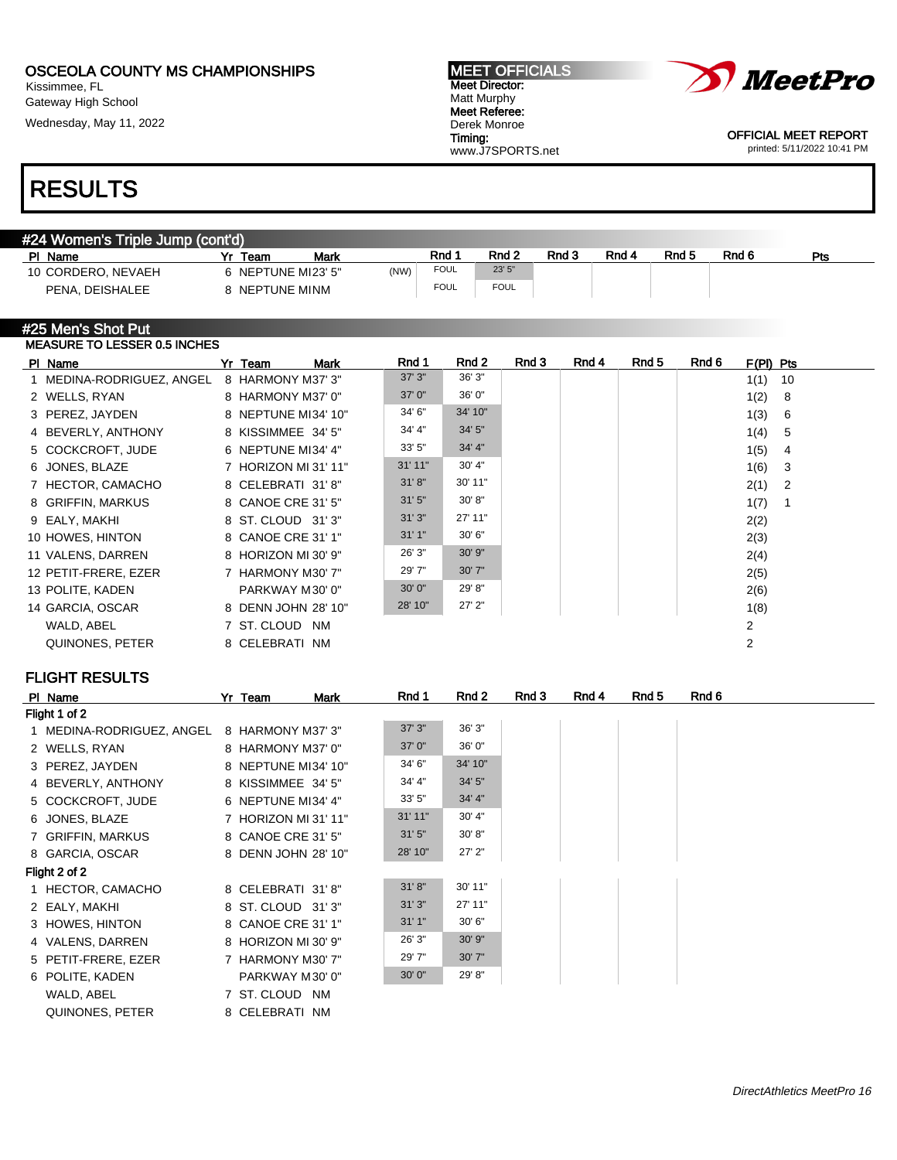Kissimmee, FL Gateway High School

Wednesday, May 11, 2022

#### MEET OFFICIALS Meet Director: Matt Murphy Meet Referee: Derek Monroe Timing: www.J7SPORTS.net



OFFICIAL MEET REPORT printed: 5/11/2022 10:41 PM

## RESULTS

| #24 Women's Triple Jump (cont'd) |                    |      |             |             |       |       |       |       |     |
|----------------------------------|--------------------|------|-------------|-------------|-------|-------|-------|-------|-----|
| PL<br>Name                       | Mark<br>Team       |      | Rnd         | Rnd 2       | Rnd 3 | Rnd 4 | Rnd 5 | Rnd 6 | Pts |
| 10 CORDERO, NEVAEH               | 6 NEPTUNE MI23' 5" | (NW) | <b>FOUL</b> | 23' 5"      |       |       |       |       |     |
| PENA, DEISHALEE                  | NEPTUNE MINM       |      | <b>FOUL</b> | <b>FOUL</b> |       |       |       |       |     |

#### #25 Men's Shot Put MEASURE TO LESSER 0.5 INCHES

| PI Name                   | Mark<br>Yr Team      | Rnd 1   | Rnd 2      | Rnd 3 | Rnd 4 | Rnd 5 | Rnd 6 | $F(PI)$ Pts |              |
|---------------------------|----------------------|---------|------------|-------|-------|-------|-------|-------------|--------------|
| 1 MEDINA-RODRIGUEZ, ANGEL | 8 HARMONY M37' 3"    | 37' 3"  | 36' 3"     |       |       |       |       | 1(1)        | 10           |
| 2 WELLS, RYAN             | 8 HARMONY M37' 0"    | 37' 0"  | 36' 0"     |       |       |       |       | 1(2)        | -8           |
| 3 PEREZ, JAYDEN           | 8 NEPTUNE MI34' 10"  | 34' 6"  | 34' 10"    |       |       |       |       | 1(3)        | -6           |
| 4 BEVERLY, ANTHONY        | 8 KISSIMMEE 34' 5"   | 34' 4"  | 34' 5"     |       |       |       |       | 1(4)        | -5           |
| 5 COCKCROFT, JUDE         | 6 NEPTUNE MI34' 4"   | 33' 5"  | 34' 4"     |       |       |       |       | 1(5)        | 4            |
| 6 JONES, BLAZE            | 7 HORIZON MI 31' 11" | 31'11"  | 30' 4"     |       |       |       |       | 1(6)        | $\mathbf{3}$ |
| 7 HECTOR, CAMACHO         | 8 CELEBRATI 31'8"    | 31' 8'' | 30' 11"    |       |       |       |       | 2(1)        | - 2          |
| 8 GRIFFIN, MARKUS         | 8 CANOE CRE 31' 5"   | 31'5''  | 30' 8''    |       |       |       |       | 1(7)        |              |
| 9 EALY, MAKHI             | 8 ST. CLOUD 31'3"    | 31'3''  | 27' 11"    |       |       |       |       | 2(2)        |              |
| 10 HOWES, HINTON          | 8 CANOE CRE 31' 1"   | 31'1"   | 30' 6"     |       |       |       |       | 2(3)        |              |
| 11 VALENS, DARREN         | 8 HORIZON MI 30' 9"  | 26' 3"  | 30' 9"     |       |       |       |       | 2(4)        |              |
| 12 PETIT-FRERE, EZER      | 7 HARMONY M30' 7"    | 29' 7"  | 30'7''     |       |       |       |       | 2(5)        |              |
| 13 POLITE, KADEN          | PARKWAY M30' 0"      | 30'0''  | 29' 8"     |       |       |       |       | 2(6)        |              |
| 14 GARCIA, OSCAR          | 8 DENN JOHN 28' 10"  | 28' 10" | $27'$ $2"$ |       |       |       |       | 1(8)        |              |
| WALD, ABEL                | 7 ST. CLOUD NM       |         |            |       |       |       |       | 2           |              |
| QUINONES, PETER           | 8 CELEBRATI NM       |         |            |       |       |       |       | 2           |              |
|                           |                      |         |            |       |       |       |       |             |              |

## FLIGHT RESULTS

| PI Name                   | Yr Team             | Mark                 | Rnd 1   | Rnd 2   | Rnd 3 | Rnd 4 | Rnd 5 | Rnd 6 |
|---------------------------|---------------------|----------------------|---------|---------|-------|-------|-------|-------|
| Flight 1 of 2             |                     |                      |         |         |       |       |       |       |
| 1 MEDINA-RODRIGUEZ, ANGEL | 8 HARMONY M37' 3"   |                      | 37'3''  | 36' 3"  |       |       |       |       |
| 2 WELLS, RYAN             | 8 HARMONY M37' 0"   |                      | 37'0''  | 36' 0"  |       |       |       |       |
| 3 PEREZ, JAYDEN           |                     | 8 NEPTUNE MI34' 10"  | 34' 6"  | 34' 10" |       |       |       |       |
| 4 BEVERLY, ANTHONY        | 8 KISSIMMEE 34' 5"  |                      | 34' 4"  | 34' 5"  |       |       |       |       |
| 5 COCKCROFT, JUDE         | 6 NEPTUNE MI34' 4"  |                      | 33'5''  | 34' 4"  |       |       |       |       |
| 6 JONES, BLAZE            |                     | 7 HORIZON MI 31' 11" | 31' 11" | 30' 4"  |       |       |       |       |
| 7 GRIFFIN, MARKUS         | 8 CANOE CRE 31' 5"  |                      | 31'5''  | 30' 8"  |       |       |       |       |
| 8 GARCIA, OSCAR           |                     | 8 DENN JOHN 28' 10"  | 28' 10" | 27' 2"  |       |       |       |       |
| Flight 2 of 2             |                     |                      |         |         |       |       |       |       |
| 1 HECTOR, CAMACHO         | 8 CELEBRATI 31'8"   |                      | 31' 8'' | 30' 11" |       |       |       |       |
| 2 EALY, MAKHI             | 8 ST. CLOUD 31'3"   |                      | 31'3''  | 27' 11" |       |       |       |       |
| 3 HOWES, HINTON           | 8 CANOE CRE 31' 1"  |                      | 31'1''  | 30' 6"  |       |       |       |       |
| 4 VALENS, DARREN          | 8 HORIZON MI 30' 9" |                      | 26' 3"  | 30' 9"  |       |       |       |       |
| 5 PETIT-FRERE, EZER       | 7 HARMONY M30' 7"   |                      | 29' 7"  | 30' 7"  |       |       |       |       |
| 6 POLITE, KADEN           |                     | PARKWAY M30' 0"      | 30'0''  | 29' 8"  |       |       |       |       |
| WALD, ABEL                | 7 ST. CLOUD NM      |                      |         |         |       |       |       |       |
| QUINONES, PETER           | 8 CELEBRATI NM      |                      |         |         |       |       |       |       |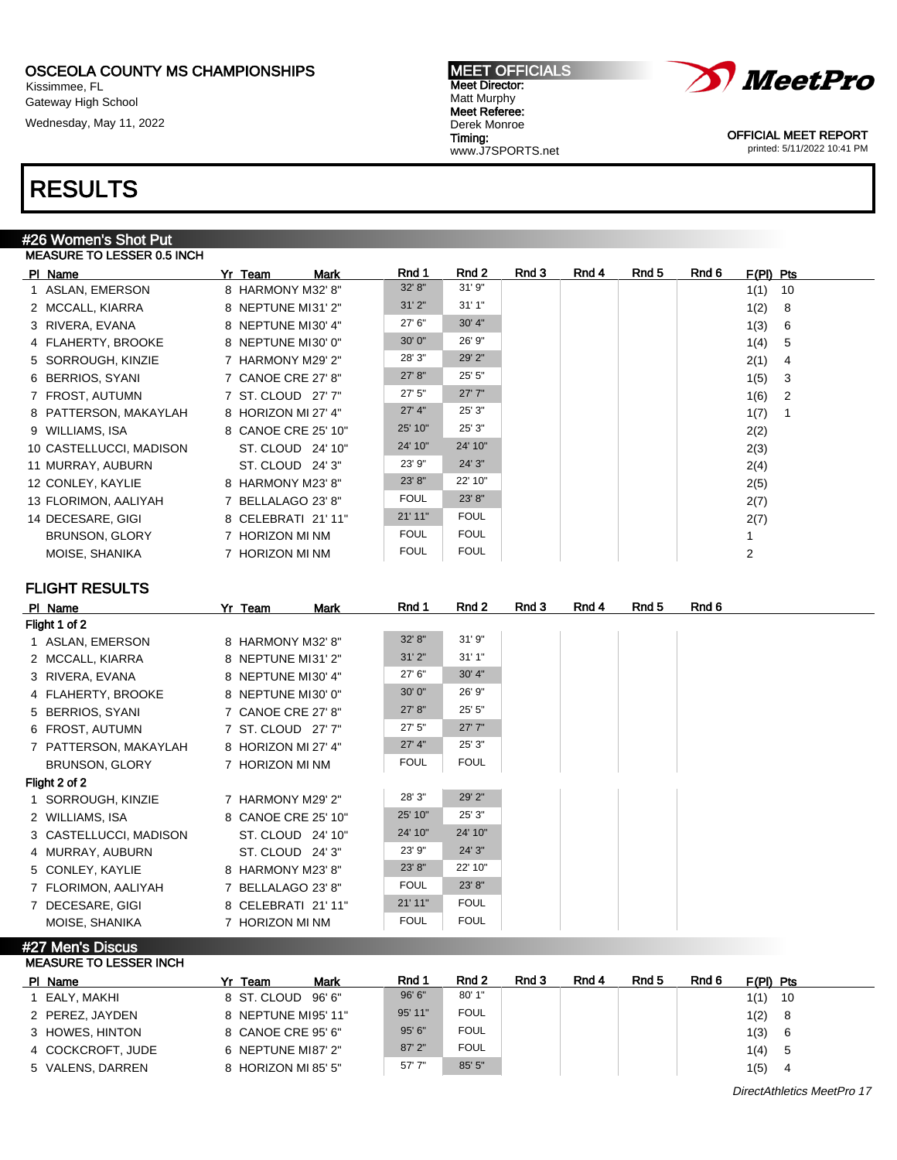Kissimmee, FL Gateway High School

Wednesday, May 11, 2022

#### MEET OFFICIALS Meet Director: Matt Murphy Meet Referee: Derek Monroe Timing: www.J7SPORTS.net



OFFICIAL MEET REPORT printed: 5/11/2022 10:41 PM

## RESULTS

#### #26 Women's Shot Put MEASURE TO LESSER 0.5 INCH

| PI Name                 | Yr Team             | Mark              | Rnd 1       | Rnd 2       | Rnd 3 | Rnd 4 | Rnd 5 | Rnd 6<br>$F(PI)$ Pts |                |
|-------------------------|---------------------|-------------------|-------------|-------------|-------|-------|-------|----------------------|----------------|
| 1 ASLAN, EMERSON        | 8 HARMONY M32' 8"   |                   | 32' 8"      | 31'9''      |       |       |       | 1(1)                 | 10             |
| 2 MCCALL, KIARRA        | 8 NEPTUNE MI31' 2"  |                   | 31'2"       | 31'1''      |       |       |       | 1(2)                 | 8              |
| 3 RIVERA, EVANA         | 8 NEPTUNE MI30' 4"  |                   | 27' 6"      | 30' 4"      |       |       |       | 1(3)                 | -6             |
| 4 FLAHERTY, BROOKE      | 8 NEPTUNE MI30' 0"  |                   | 30' 0"      | 26' 9"      |       |       |       | 1(4)                 | -5             |
| 5 SORROUGH, KINZIE      | 7 HARMONY M29' 2"   |                   | 28' 3"      | 29' 2"      |       |       |       | 2(1)                 | 4              |
| 6 BERRIOS, SYANI        | 7 CANOE CRE 27' 8"  |                   | 27' 8"      | 25' 5"      |       |       |       | 1(5)                 | -3             |
| 7 FROST, AUTUMN         | 7 ST. CLOUD 27' 7"  |                   | 27'5''      | 27'7''      |       |       |       | 1(6)                 | $\overline{2}$ |
| 8 PATTERSON, MAKAYLAH   | 8 HORIZON MI 27' 4" |                   | 27' 4''     | 25' 3"      |       |       |       | 1(7)                 |                |
| 9 WILLIAMS, ISA         | 8 CANOE CRE 25' 10" |                   | 25' 10"     | 25' 3"      |       |       |       | 2(2)                 |                |
| 10 CASTELLUCCI, MADISON |                     | ST. CLOUD 24' 10" | 24' 10"     | 24' 10"     |       |       |       | 2(3)                 |                |
| 11 MURRAY, AUBURN       | ST. CLOUD 24' 3"    |                   | 23' 9"      | 24' 3"      |       |       |       | 2(4)                 |                |
| 12 CONLEY, KAYLIE       | 8 HARMONY M23' 8"   |                   | 23' 8"      | 22' 10"     |       |       |       | 2(5)                 |                |
| 13 FLORIMON, AALIYAH    | 7 BELLALAGO 23' 8"  |                   | <b>FOUL</b> | 23' 8"      |       |       |       | 2(7)                 |                |
| 14 DECESARE, GIGI       | 8 CELEBRATI 21'11"  |                   | 21'11"      | <b>FOUL</b> |       |       |       | 2(7)                 |                |
| BRUNSON, GLORY          | 7 HORIZON MI NM     |                   | <b>FOUL</b> | <b>FOUL</b> |       |       |       |                      |                |
| MOISE, SHANIKA          | 7 HORIZON MI NM     |                   | <b>FOUL</b> | <b>FOUL</b> |       |       |       | $\overline{2}$       |                |

## FLIGHT RESULTS

| PI Name                | Yr Team             | <b>Mark</b> | Rnd 1       | Rnd 2       | Rnd 3 | Rnd 4 | Rnd 5 | Rnd 6 |
|------------------------|---------------------|-------------|-------------|-------------|-------|-------|-------|-------|
| Flight 1 of 2          |                     |             |             |             |       |       |       |       |
| 1 ASLAN, EMERSON       | 8 HARMONY M32' 8"   |             | 32' 8"      | 31'9''      |       |       |       |       |
| 2 MCCALL, KIARRA       | 8 NEPTUNE MI31' 2"  |             | 31'2"       | 31'1''      |       |       |       |       |
| 3 RIVERA, EVANA        | 8 NEPTUNE MI30' 4"  |             | 27' 6"      | 30' 4"      |       |       |       |       |
| 4 FLAHERTY, BROOKE     | 8 NEPTUNE MI30' 0"  |             | 30' 0"      | 26' 9"      |       |       |       |       |
| 5 BERRIOS, SYANI       | 7 CANOE CRE 27' 8"  |             | 27' 8''     | 25' 5"      |       |       |       |       |
| 6 FROST, AUTUMN        | 7 ST. CLOUD 27' 7"  |             | 27'5''      | 27'7''      |       |       |       |       |
| 7 PATTERSON, MAKAYLAH  | 8 HORIZON MI 27' 4" |             | 27' 4''     | 25' 3"      |       |       |       |       |
| BRUNSON, GLORY         | 7 HORIZON MI NM     |             | <b>FOUL</b> | <b>FOUL</b> |       |       |       |       |
| Flight 2 of 2          |                     |             |             |             |       |       |       |       |
| 1 SORROUGH, KINZIE     | 7 HARMONY M29' 2"   |             | 28' 3"      | 29' 2"      |       |       |       |       |
| 2 WILLIAMS, ISA        | 8 CANOE CRE 25' 10" |             | 25' 10"     | 25' 3"      |       |       |       |       |
| 3 CASTELLUCCI, MADISON | ST. CLOUD 24' 10"   |             | 24' 10"     | 24' 10"     |       |       |       |       |
| 4 MURRAY, AUBURN       | ST. CLOUD 24' 3"    |             | 23' 9"      | 24' 3"      |       |       |       |       |
| 5 CONLEY, KAYLIE       | 8 HARMONY M23' 8"   |             | 23' 8''     | 22' 10"     |       |       |       |       |
| 7 FLORIMON, AALIYAH    | 7 BELLALAGO 23' 8"  |             | <b>FOUL</b> | 23' 8"      |       |       |       |       |
| 7 DECESARE, GIGI       | 8 CELEBRATI 21'11"  |             | 21' 11"     | <b>FOUL</b> |       |       |       |       |
| MOISE, SHANIKA         | 7 HORIZON MI NM     |             | <b>FOUL</b> | <b>FOUL</b> |       |       |       |       |

#27 Men's Discus MEASURE TO LESSER INCH

| PI Name           | Yr Team             | Mark | Rnd 1    | Rnd 2       | Rnd 3 | Rnd 4 | Rnd 5 | Rnd 6 | $F(PI)$ Pts |      |
|-------------------|---------------------|------|----------|-------------|-------|-------|-------|-------|-------------|------|
| 1 EALY. MAKHI     | 8 ST. CLOUD 96'6"   |      | 96'6''   | 80' 1"      |       |       |       |       | 1(1)        | - 10 |
| 2 PEREZ. JAYDEN   | 8 NEPTUNE MI95' 11" |      | 95' 11"  | <b>FOUL</b> |       |       |       |       | 1(2)        | - 8  |
| 3 HOWES, HINTON   | 8 CANOE CRE 95' 6"  |      | 95'6''   | <b>FOUL</b> |       |       |       |       | 1(3)        | - 6  |
| 4 COCKCROFT, JUDE | 6 NEPTUNE MI87' 2"  |      | $87'$ 2" | <b>FOUL</b> |       |       |       |       | 1(4)        | - 5  |
| 5 VALENS, DARREN  | 8 HORIZON MI 85' 5" |      | 57'7''   | 85' 5"      |       |       |       |       | 1(5)        | -4   |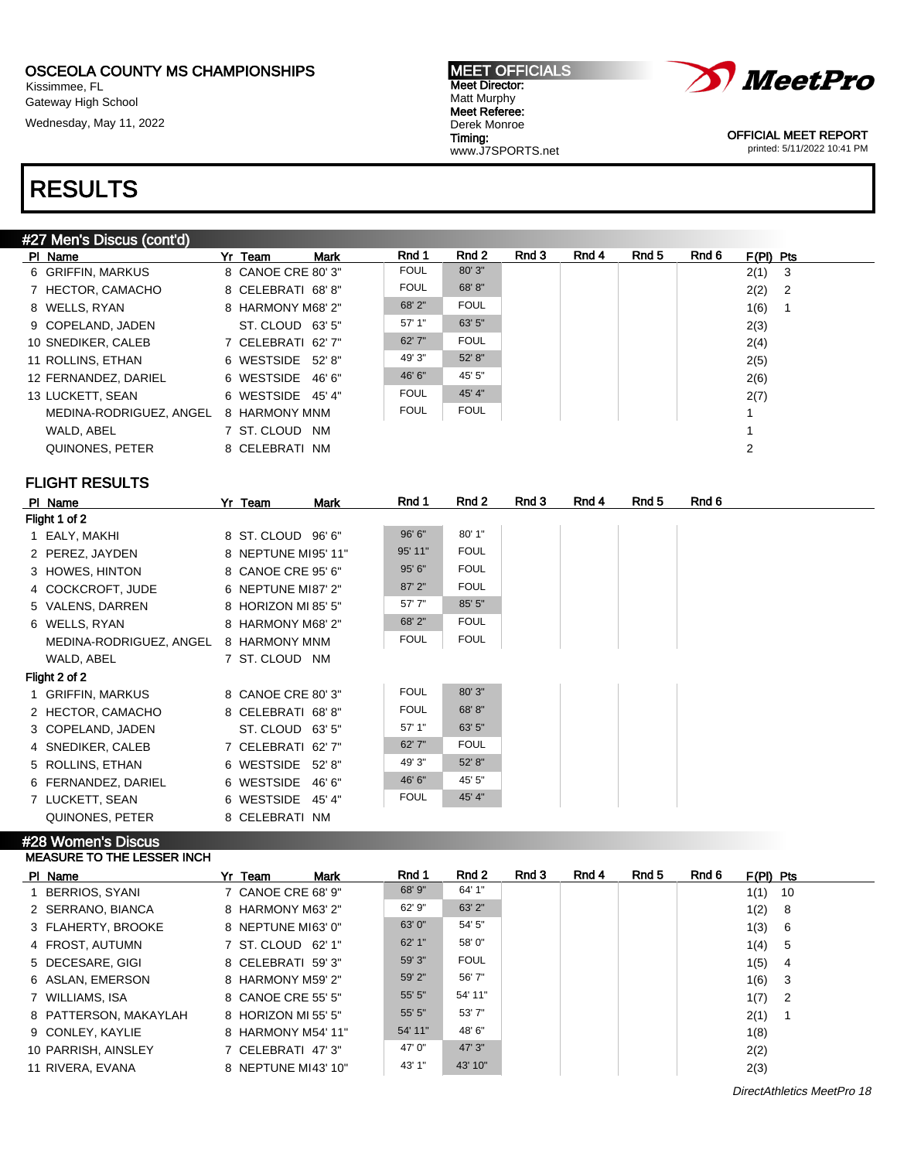Kissimmee, FL Gateway High School

Wednesday, May 11, 2022





OFFICIAL MEET REPORT printed: 5/11/2022 10:41 PM

## RESULTS

### #27 Men's Discus (cont'd) PIName 7r Team Mark Rnd 1 Rnd 2 Rnd 3 Rnd 4 Rnd 5 Rnd 6 F(PI) Pts 6 GRIFFIN, MARKUS 8 CANOE CRE 80' 3" FOUL 80' 3" | 2(1) 3 7 HECTOR, CAMACHO 8 CELEBRATI 68'8" FOUL 68'8" | 2(2) 2 8 WELLS, RYAN 8 HARMONY M68' 2" FOUL FOUL 1(6) 1<br>9 COPELAND JADEN ST CLOUD 63' 5" 57' 1" 63' 5" 2/3) 9 COPELAND, JADEN ST. CLOUD 63' 5" 57' 1" 63' 5" 2(3) 10 SNEDIKER, CALEB 7 CELEBRATI 62' 7" 62' 7" FOUL 2(4) 11 ROLLINS, ETHAN 6 WESTSIDE 52' 8" 49' 3" 52' 8" | 2(5) 12 FERNANDEZ, DARIEL 6 WESTSIDE 46' 6" 46' 6" 45' 5" 2(6) 13 LUCKETT, SEAN 6 WESTSIDE 45' 4" FOUL 45' 4" 2(7)<br>MEDINA-RODRIGUEZ ANGEL 8 HARMONY MNM FOUL FOUL FOUL 1 MEDINA-RODRIGUEZ, ANGEL 8 HARMONY MNM FOUL FOUL FOUL 1 WALD, ABEL 7 ST. CLOUD NM 1 QUINONES, PETER 8 CELEBRATI NM 2

## FLIGHT RESULTS

| PI Name                 | Yr Team             | Mark   | Rnd 1       | Rnd 2       | Rnd 3 | Rnd 4 | Rnd 5 | Rnd 6 |
|-------------------------|---------------------|--------|-------------|-------------|-------|-------|-------|-------|
| Flight 1 of 2           |                     |        |             |             |       |       |       |       |
| 1 EALY, MAKHI           | 8 ST. CLOUD 96'6"   |        | 96' 6"      | 80' 1"      |       |       |       |       |
| 2 PEREZ, JAYDEN         | 8 NEPTUNE MI95' 11" |        | 95' 11"     | <b>FOUL</b> |       |       |       |       |
| 3 HOWES, HINTON         | 8 CANOE CRE 95' 6"  |        | 95' 6"      | <b>FOUL</b> |       |       |       |       |
| 4 COCKCROFT, JUDE       | 6 NEPTUNE MI87' 2"  |        | 87' 2"      | <b>FOUL</b> |       |       |       |       |
| 5 VALENS, DARREN        | 8 HORIZON MI 85' 5" |        | 57'7"       | 85' 5"      |       |       |       |       |
| 6 WELLS, RYAN           | 8 HARMONY M68' 2"   |        | 68' 2"      | <b>FOUL</b> |       |       |       |       |
| MEDINA-RODRIGUEZ, ANGEL | 8 HARMONY MNM       |        | <b>FOUL</b> | <b>FOUL</b> |       |       |       |       |
| WALD, ABEL              | 7 ST. CLOUD NM      |        |             |             |       |       |       |       |
| Flight 2 of 2           |                     |        |             |             |       |       |       |       |
| 1 GRIFFIN, MARKUS       | 8 CANOE CRE 80' 3"  |        | <b>FOUL</b> | 80' 3"      |       |       |       |       |
| 2 HECTOR, CAMACHO       | 8 CELEBRATI 68'8"   |        | <b>FOUL</b> | 68' 8"      |       |       |       |       |
| 3 COPELAND, JADEN       | ST. CLOUD 63' 5"    |        | 57' 1"      | 63' 5"      |       |       |       |       |
| 4 SNEDIKER, CALEB       | 7 CELEBRATI 62'7"   |        | 62' 7"      | <b>FOUL</b> |       |       |       |       |
| 5 ROLLINS, ETHAN        | 6 WESTSIDE          | 52'8"  | 49' 3"      | 52' 8"      |       |       |       |       |
| 6 FERNANDEZ, DARIEL     | 6 WESTSIDE          | 46' 6" | 46' 6"      | 45' 5"      |       |       |       |       |
| 7 LUCKETT, SEAN         | 6 WESTSIDE          | 45'4"  | <b>FOUL</b> | 45' 4"      |       |       |       |       |
| QUINONES, PETER         | 8 CELEBRATI NM      |        |             |             |       |       |       |       |

#### #28 Women's Discus MEASURE TO THE LESSER INCH

| PI Name               | Yr Team             | Mark | Rnd 1   | Rnd 2       | Rnd 3 | Rnd 4 | Rnd 5 | Rnd 6 | $F(PI)$ Pts |     |
|-----------------------|---------------------|------|---------|-------------|-------|-------|-------|-------|-------------|-----|
| 1 BERRIOS, SYANI      | 7 CANOE CRE 68' 9"  |      | 68' 9"  | 64' 1"      |       |       |       |       | 1(1)        | -10 |
| 2 SERRANO, BIANCA     | 8 HARMONY M63' 2"   |      | 62' 9"  | 63' 2"      |       |       |       |       | 1(2) 8      |     |
| 3 FLAHERTY, BROOKE    | 8 NEPTUNE MI63' 0"  |      | 63' 0"  | 54' 5"      |       |       |       |       | 1(3) 6      |     |
| 4 FROST, AUTUMN       | 7 ST. CLOUD 62' 1"  |      | 62'1"   | 58' 0"      |       |       |       |       | 1(4) 5      |     |
| 5 DECESARE, GIGI      | 8 CELEBRATI 59'3"   |      | 59' 3"  | <b>FOUL</b> |       |       |       |       | $1(5)$ 4    |     |
| 6 ASLAN, EMERSON      | 8 HARMONY M59' 2"   |      | 59' 2"  | 56' 7"      |       |       |       |       | 1(6) 3      |     |
| 7 WILLIAMS, ISA       | 8 CANOE CRE 55' 5"  |      | 55' 5"  | 54' 11"     |       |       |       |       | $1(7)$ 2    |     |
| 8 PATTERSON, MAKAYLAH | 8 HORIZON MI 55' 5" |      | 55' 5"  | 53'7"       |       |       |       |       | 2(1)        |     |
| 9 CONLEY, KAYLIE      | 8 HARMONY M54' 11"  |      | 54' 11" | 48' 6"      |       |       |       |       | 1(8)        |     |
| 10 PARRISH, AINSLEY   | 7 CELEBRATI 47'3"   |      | 47' 0"  | 47' 3"      |       |       |       |       | 2(2)        |     |
| 11 RIVERA, EVANA      | 8 NEPTUNE MI43' 10" |      | 43' 1"  | 43' 10"     |       |       |       |       | 2(3)        |     |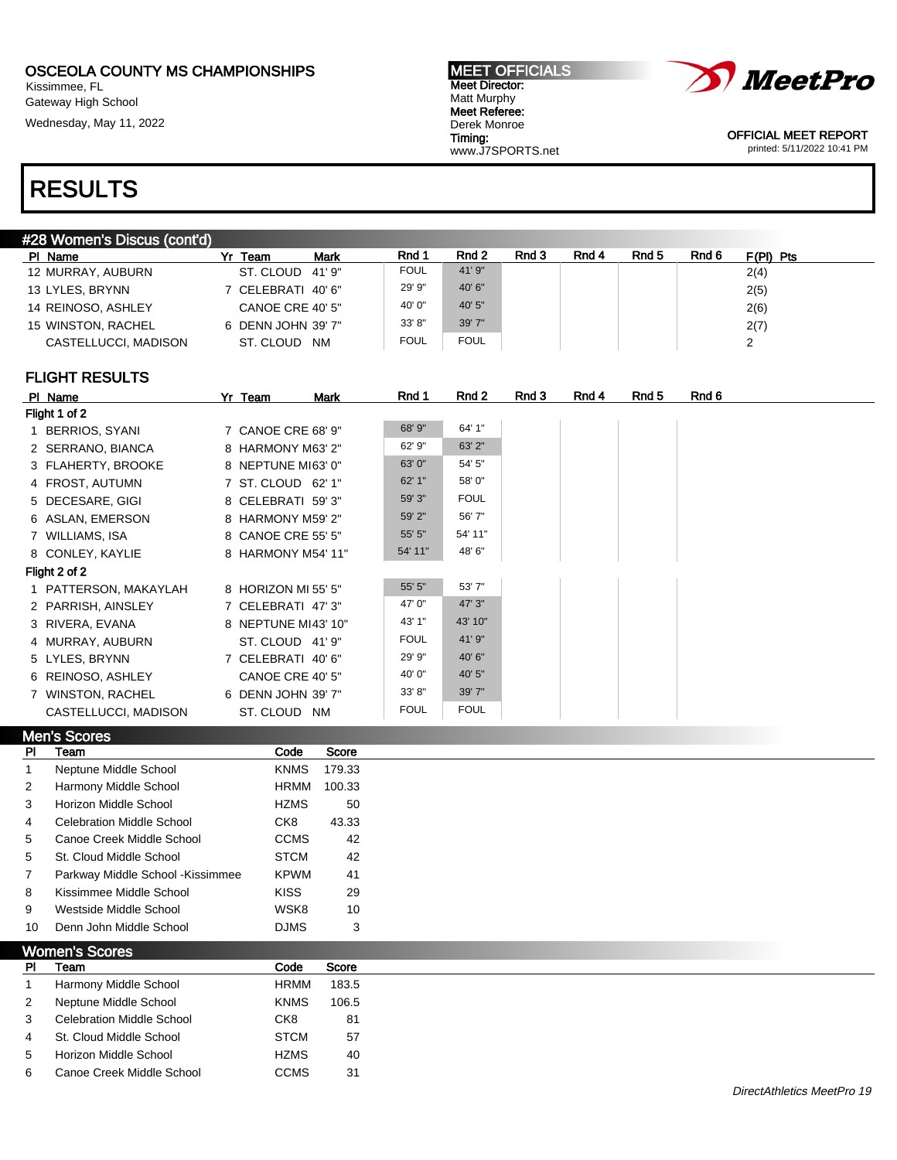Kissimmee, FL Gateway High School

Wednesday, May 11, 2022





OFFICIAL MEET REPORT printed: 5/11/2022 10:41 PM

# RESULTS

| #28 Women's Discus (cont'd) |  |
|-----------------------------|--|
|-----------------------------|--|

| PI Name              | <b>Mark</b><br>Team<br>Yr | Rnd 1  | Rnd 2       | Rnd 3 | Rnd 4 | Rnd 5 | Rnd 6 | F(PI) Pts |
|----------------------|---------------------------|--------|-------------|-------|-------|-------|-------|-----------|
| 12 MURRAY, AUBURN    | ST. CLOUD<br>41' 9"       | FOUL   | 41'9''      |       |       |       |       | 2(4)      |
| 13 LYLES, BRYNN      | 7 CELEBRATI 40'6"         | 29' 9" | 40' 6"      |       |       |       |       | 2(5)      |
| 14 REINOSO, ASHLEY   | CANOE CRE 40' 5"          | 40' 0" | 40' 5"      |       |       |       |       | 2(6)      |
| 15 WINSTON, RACHEL   | 6 DENN JOHN 39' 7"        | 33' 8" | 39' 7"      |       |       |       |       | 2(7)      |
| CASTELLUCCI, MADISON | ST. CLOUD<br><b>NM</b>    | FOUL   | <b>FOUL</b> |       |       |       |       |           |
|                      |                           |        |             |       |       |       |       |           |

## FLIGHT RESULTS

| PI Name               | Yr Team             | Mark | Rnd 1       | Rnd 2       | Rnd 3 | Rnd 4 | Rnd 5 | Rnd 6 |
|-----------------------|---------------------|------|-------------|-------------|-------|-------|-------|-------|
| Flight 1 of 2         |                     |      |             |             |       |       |       |       |
| 1 BERRIOS, SYANI      | 7 CANOE CRE 68' 9"  |      | 68' 9"      | 64' 1"      |       |       |       |       |
| 2 SERRANO, BIANCA     | 8 HARMONY M63' 2"   |      | 62' 9"      | 63' 2"      |       |       |       |       |
| 3 FLAHERTY, BROOKE    | 8 NEPTUNE MI63' 0"  |      | 63' 0"      | 54' 5"      |       |       |       |       |
| 4 FROST, AUTUMN       | 7 ST. CLOUD 62' 1"  |      | 62'1"       | 58' 0"      |       |       |       |       |
| 5 DECESARE, GIGI      | 8 CELEBRATI 59'3"   |      | 59' 3"      | <b>FOUL</b> |       |       |       |       |
| 6 ASLAN, EMERSON      | 8 HARMONY M59' 2"   |      | 59' 2"      | 56' 7"      |       |       |       |       |
| 7 WILLIAMS, ISA       | 8 CANOE CRE 55' 5"  |      | 55' 5"      | 54' 11"     |       |       |       |       |
| 8 CONLEY, KAYLIE      | 8 HARMONY M54' 11"  |      | 54' 11"     | 48' 6"      |       |       |       |       |
| Flight 2 of 2         |                     |      |             |             |       |       |       |       |
| 1 PATTERSON, MAKAYLAH | 8 HORIZON MI 55' 5" |      | 55' 5"      | 53' 7"      |       |       |       |       |
| 2 PARRISH, AINSLEY    | 7 CELEBRATI 47'3"   |      | 47' 0"      | 47' 3"      |       |       |       |       |
| 3 RIVERA, EVANA       | 8 NEPTUNE MI43' 10" |      | 43' 1"      | 43' 10"     |       |       |       |       |
| 4 MURRAY, AUBURN      | ST. CLOUD 41' 9"    |      | <b>FOUL</b> | 41' 9"      |       |       |       |       |
| 5 LYLES, BRYNN        | 7 CELEBRATI 40'6"   |      | 29' 9"      | 40' 6"      |       |       |       |       |
| 6 REINOSO, ASHLEY     | CANOE CRE 40' 5"    |      | 40' 0"      | 40' 5"      |       |       |       |       |
| 7 WINSTON, RACHEL     | 6 DENN JOHN 39' 7"  |      | 33' 8"      | 39' 7"      |       |       |       |       |
| CASTELLUCCI, MADISON  | ST. CLOUD NM        |      | <b>FOUL</b> | <b>FOUL</b> |       |       |       |       |

|                | <b>Men's Scores</b>               |             |        |
|----------------|-----------------------------------|-------------|--------|
| PI.            | Team                              | Code        | Score  |
|                | Neptune Middle School             | <b>KNMS</b> | 179.33 |
| $\overline{2}$ | Harmony Middle School             | <b>HRMM</b> | 100.33 |
| 3              | Horizon Middle School             | <b>HZMS</b> | 50     |
| 4              | <b>Celebration Middle School</b>  | CK8         | 43.33  |
| 5              | Canoe Creek Middle School         | <b>CCMS</b> | 42     |
| 5              | St. Cloud Middle School           | <b>STCM</b> | 42     |
|                | Parkway Middle School - Kissimmee | <b>KPWM</b> | 41     |
| 8              | Kissimmee Middle School           | <b>KISS</b> | 29     |
| 9              | Westside Middle School            | WSK8        | 10     |
| 10             | Denn John Middle School           | <b>DJMS</b> | 3      |
|                | <b>Women's Scores</b>             |             |        |

| PI             | Team                             | Code            | Score |
|----------------|----------------------------------|-----------------|-------|
|                | Harmony Middle School            | <b>HRMM</b>     | 183.5 |
| 2              | Neptune Middle School            | <b>KNMS</b>     | 106.5 |
| 3              | <b>Celebration Middle School</b> | CK <sub>8</sub> | 81    |
| $\overline{4}$ | St. Cloud Middle School          | <b>STCM</b>     | 57    |
| 5              | Horizon Middle School            | <b>HZMS</b>     | 40    |
| 6              | Canoe Creek Middle School        | <b>CCMS</b>     | 31    |